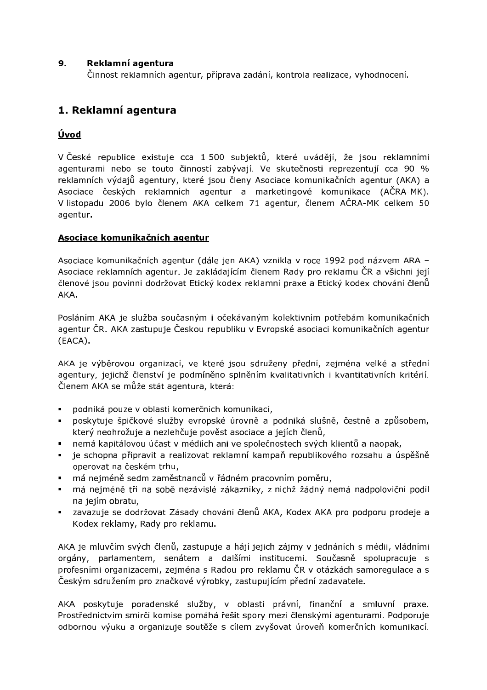#### $9.$ Reklamní agentura

Činnost reklamních agentur, příprava zadání, kontrola realizace, vyhodnocení.

# 1. Reklamní agentura

### Úvod

V České republice existuje cca 1 500 subjektů, které uvádějí, že jsou reklamními agenturami nebo se touto činností zabývají. Ve skutečnosti reprezentují cca 90 % reklamních výdajů agentury, které jsou členy Asociace komunikačních agentur (AKA) a Asociace českých reklamních agentur a marketingové komunikace (AČRA-MK). V listopadu 2006 bylo členem AKA celkem 71 agentur, členem AČRA-MK celkem 50 agentur.

#### Asociace komunikačních agentur

Asociace komunikačních agentur (dále jen AKA) vznikla v roce 1992 pod názvem ARA -Asociace reklamních agentur. Je zakládajícím členem Rady pro reklamu ČR a všichni její členové jsou povinni dodržovat Etický kodex reklamní praxe a Etický kodex chování členů AKA.

Posláním AKA je služba současným i očekávaným kolektivním potřebám komunikačních agentur ČR. AKA zastupuje Českou republiku v Evropské asociaci komunikačních agentur  $(EACA)$ .

AKA je výběrovou organizací, ve které jsou sdruženy přední, zejména velké a střední agentury, jejichž členství je podmíněno splněním kvalitativních i kvantitativních kritérií. Členem AKA se může stát agentura, která:

- podniká pouze v oblasti komerčních komunikací.
- · poskytuje špičkové služby evropské úrovně a podniká slušně, čestně a způsobem, který neohrožuje a nezlehčuje pověst asociace a jejích členů,
- nemá kapitálovou účast v médiích ani ve společnostech svých klientů a naopak,
- · je schopna připravit a realizovat reklamní kampaň republikového rozsahu a úspěšně operovat na českém trhu,
- · má nejméně sedm zaměstnanců v řádném pracovním poměru,
- · má nejméně tři na sobě nezávislé zákazníky, z nichž žádný nemá nadpoloviční podíl na jejím obratu,
- zavazuje se dodržovat Zásady chování členů AKA, Kodex AKA pro podporu prodeje a Kodex reklamy, Rady pro reklamu.

AKA je mluvčím svých členů, zastupuje a hájí jejich zájmy v jednáních s médii, vládními orgány, parlamentem, senátem a dalšími institucemi. Současně spolupracuje s profesními organizacemi, zejména s Radou pro reklamu ČR v otázkách samoregulace a s Českým sdružením pro značkové výrobky, zastupujícím přední zadavatele.

AKA poskytuje poradenské služby, v oblasti právní, finanční a smluvní praxe. Prostřednictvím smírčí komise pomáhá řešit spory mezi členskými agenturami. Podporuje odbornou výuku a organizuje soutěže s cílem zvyšovat úroveň komerčních komunikací.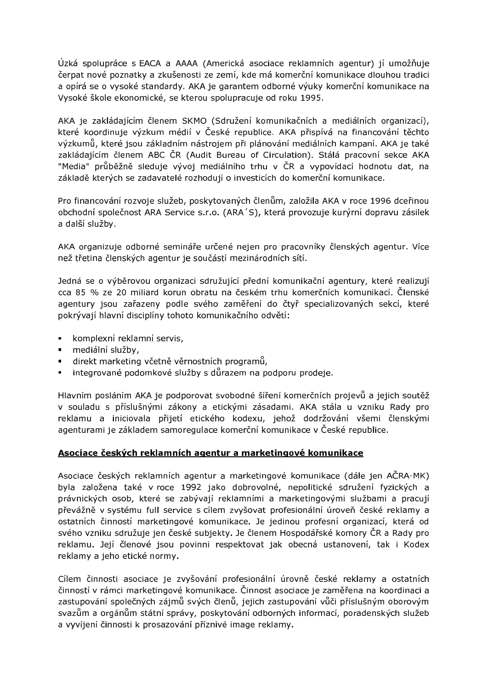Úzká spolupráce s EACA a AAAA (Americká asociace reklamních agentur) jí umožňuje čerpat nové poznatky a zkušenosti ze zemí, kde má komerční komunikace dlouhou tradici a opírá se o vysoké standardy. AKA je garantem odborné výuky komerční komunikace na Vysoké škole ekonomické, se kterou spolupracuje od roku 1995.

AKA je zakládajícím členem SKMO (Sdružení komunikačních a mediálních organizací), které koordinuje výzkum médií v České republice. AKA přispívá na financování těchto výzkumů, které jsou základním nástrojem při plánování mediálních kampaní. AKA je také zakládajícím členem ABC ČR (Audit Bureau of Circulation). Stálá pracovní sekce AKA "Media" průběžně sleduje vývoj mediálního trhu v ČR a vypovídací hodnotu dat, na základě kterých se zadavatelé rozhodují o investicích do komerční komunikace.

Pro financování rozvoje služeb, poskytovaných členům, založila AKA v roce 1996 dceřinou obchodní společnost ARA Service s.r.o. (ARA'S), která provozuje kurýrní dopravu zásilek a další služby.

AKA organizuje odborné semináře určené nejen pro pracovníky členských agentur. Více než třetina členských agentur je součástí mezinárodních sítí.

Jedná se o výběrovou organizaci sdružující přední komunikační agentury, které realizují cca 85 % ze 20 miliard korun obratu na českém trhu komerčních komunikací. Členské agentury jsou zařazeny podle svého zaměření do čtyř specializovaných sekcí, které pokrývají hlavní disciplíny tohoto komunikačního odvětí:

- komplexní reklamní servis.
- · mediální služby,
- direkt marketing včetně věrnostních programů,
- integrované podomkové služby s důrazem na podporu prodeje.

Hlavním posláním AKA je podporovat svobodné šíření komerčních projevů a jejich soutěž v souladu s příslušnými zákony a etickými zásadami. AKA stála u vzniku Rady pro reklamu a iniciovala přijetí etického kodexu, jehož dodržování všemi členskými agenturami je základem samoregulace komerční komunikace v České republice.

#### Asociace českých reklamních agentur a marketingové komunikace

Asociace českých reklamních agentur a marketingové komunikace (dále jen AČRA-MK) byla založena také v roce 1992 jako dobrovolné, nepolitické sdružení fyzických a právnických osob, které se zabývají reklamními a marketingovými službami a pracují převážně v systému full service s cílem zvyšovat profesionální úroveň české reklamy a ostatních činností marketingové komunikace. Je jedinou profesní organizací, která od svého vzniku sdružuje jen české subjekty. Je členem Hospodářské komory ČR a Rady pro reklamu. Její členové jsou povinni respektovat jak obecná ustanovení, tak i Kodex reklamy a jeho etické normy.

Cílem činnosti asociace je zvyšování profesionální úrovně české reklamy a ostatních činností v rámci marketingové komunikace. Činnost asociace je zaměřena na koordinaci a zastupování společných zájmů svých členů, jejich zastupování vůči příslušným oborovým svazům a orgánům státní správy, poskytování odborných informací, poradenských služeb a vyvíjení činnosti k prosazování příznivé image reklamy.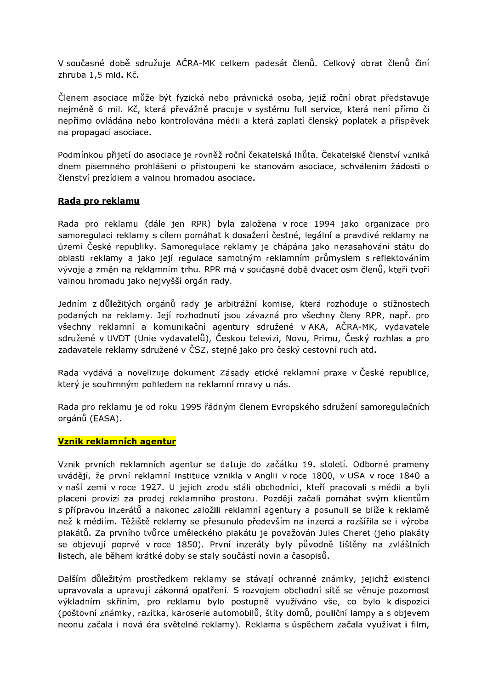V současné době sdružuje AČRA-MK celkem padesát členů. Celkový obrat členů činí zhruba 1,5 mld. Kč.

Členem asociace může být fyzická nebo právnická osoba, jejíž roční obrat představuje nejméně 6 mil. Kč, která převážně pracuje v systému full service, která není přímo či nepřímo ovládána nebo kontrolována médii a která zaplatí členský poplatek a příspěvek na propagaci asociace.

Podmínkou přijetí do asociace je rovněž roční čekatelská lhůta. Čekatelské členství vzniká dnem písemného prohlášení o přistoupení ke stanovám asociace, schválením žádosti o členství prezídiem a valnou hromadou asociace.

#### Rada pro reklamu

Rada pro reklamu (dále jen RPR) byla založena v roce 1994 jako organizace pro samoregulaci reklamy s cílem pomáhat k dosažení čestné, legální a pravdivé reklamy na území České republiky. Samoregulace reklamy je chápána jako nezasahování státu do oblasti reklamy a jako její regulace samotným reklamním průmyslem s reflektováním vývoje a změn na reklamním trhu. RPR má v současné době dvacet osm členů, kteří tvoří valnou hromadu jako nejvyšší orgán rady.

Jedním z důležitých orgánů rady je arbitrážní komise, která rozhoduje o stížnostech podaných na reklamy. Její rozhodnutí jsou závazná pro všechny členy RPR, např. pro všechny reklamní a komunikační agentury sdružené v AKA, AČRA-MK, vydavatele sdružené v UVDT (Unie vydavatelů), Českou televizi, Novu, Primu, Český rozhlas a pro zadavatele reklamy sdružené v ČSZ, stejně jako pro český cestovní ruch atd.

Rada vydává a novelizuje dokument Zásady etické reklamní praxe v České republice, který je souhrnným pohledem na reklamní mravy u nás.

Rada pro reklamu je od roku 1995 řádným členem Evropského sdružení samoregulačních orgánů (EASA).

#### Vznik reklamních agentur

Vznik prvních reklamních agentur se datuje do začátku 19. století. Odborné prameny uvádějí, že první reklamní instituce vznikla v Anglii v roce 1800, v USA v roce 1840 a v naší zemi v roce 1927. U jejich zrodu stáli obchodníci, kteří pracovali s médii a byli placeni provizí za prodej reklamního prostoru. Později začali pomáhat svým klientům s přípravou inzerátů a nakonec založili reklamní agentury a posunuli se blíže k reklamě než k médiím. Těžiště reklamy se přesunulo především na inzerci a rozšířila se i výroba plakátů. Za prvního tvůrce uměleckého plakátu je považován Jules Cheret (jeho plakáty se objevují poprvé v roce 1850). První inzeráty byly původně tištěny na zvláštních listech, ale během krátké doby se staly součástí novin a časopisů.

Dalším důležitým prostředkem reklamy se stávají ochranné známky, jejichž existenci upravovala a upravují zákonná opatření. S rozvojem obchodní sítě se věnuje pozornost výkladním skříním, pro reklamu bylo postupně využíváno vše, co bylo k dispozici (poštovní známky, razítka, karoserie automobilů, štíty domů, pouliční lampy a s objevem neonu začala i nová éra světelné reklamy). Reklama s úspěchem začala využívat i film,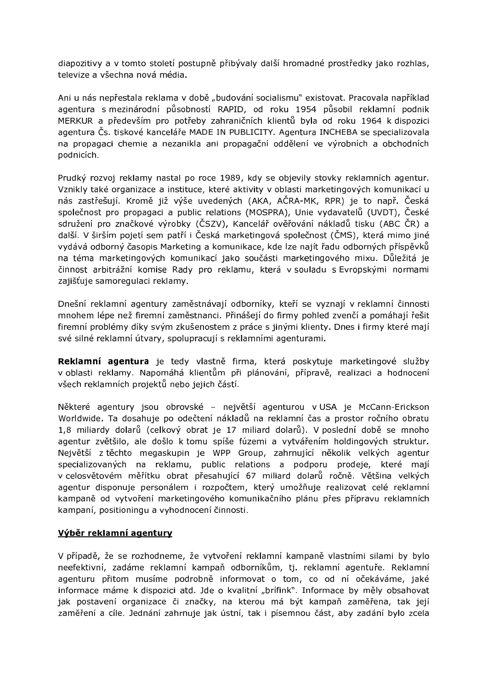diapozitivy a v tomto století postupně přibývaly další hromadné prostředky jako rozhlas, televize a všechna nová média.

Ani u nás nepřestala reklama v době "budování socialismu" existovat. Pracovala například agentura s mezinárodní působností RAPID, od roku 1954 působil reklamní podnik MERKUR a především pro potřeby zahraničních klientů byla od roku 1964 k dispozici agentura Čs. tiskové kanceláře MADE IN PUBLICITY. Agentura INCHEBA se specializovala na propagaci chemie a nezanikla ani propagační oddělení ve výrobních a obchodních podnicích.

Prudký rozvoj reklamy nastal po roce 1989, kdy se objevily stovky reklamních agentur. Vznikly také organizace a instituce, které aktivity v oblasti marketingových komunikací u nás zastřešují. Kromě již výše uvedených (AKA, AČRA-MK, RPR) je to např. Česká společnost pro propagaci a public relations (MOSPRA), Unie vydavatelů (UVDT), České sdružení pro značkové výrobky (ČSZV), Kancelář ověřování nákladů tisku (ABC ČR) a další. V širším pojetí sem patří i Česká marketingová společnost (ČMS), která mimo jiné vydává odborný časopis Marketing a komunikace, kde lze najít řadu odborných příspěvků na téma marketingových komunikací jako součásti marketingového mixu. Důležitá je činnost arbitrážní komise Rady pro reklamu, která v souladu s Evropskými normami zajišťuje samoregulaci reklamy.

Dnešní reklamní agentury zaměstnávají odborníky, kteří se vyznají v reklamní činnosti mnohem lépe než firemní zaměstnanci. Přinášejí do firmy pohled zvenčí a pomáhají řešit firemní problémy díky svým zkušenostem z práce s jinými klienty. Dnes i firmy které mají své silné reklamní útvary, spolupracují s reklamními agenturami.

Reklamní agentura je tedy vlastně firma, která poskytuje marketingové služby v oblasti reklamy. Napomáhá klientům při plánování, přípravě, realizaci a hodnocení všech reklamních projektů nebo jejich částí.

Některé agentury jsou obrovské - největší agenturou v USA je McCann-Erickson Worldwide. Ta dosahuje po odečtení nákladů na reklamní čas a prostor ročního obratu 1,8 miliardy dolarů (celkový obrat je 17 miliard dolarů). V poslední době se mnoho agentur zvětšilo, ale došlo k tomu spíše fúzemi a vytvářením holdingových struktur. Největší z těchto megaskupin je WPP Group, zahrnující několik velkých agentur specializovaných na reklamu, public relations a podporu prodeje, které mají v celosvětovém měřítku obrat přesahující 67 miliard dolarů ročně. Většina velkých agentur disponuje personálem i rozpočtem, který umožňuje realizovat celé reklamní kampaně od vytvoření marketingového komunikačního plánu přes přípravu reklamních kampaní, positioningu a vyhodnocení činnosti.

#### Výběr reklamní agentury

V případě, že se rozhodneme, že vytvoření reklamní kampaně vlastními silami by bylo neefektivní, zadáme reklamní kampaň odborníkům, tj. reklamní agentuře. Reklamní agenturu přitom musíme podrobně informovat o tom, co od ní očekáváme, jaké informace máme k dispozici atd. Jde o kvalitní "brífink". Informace by měly obsahovat jak postavení organizace či značky, na kterou má být kampaň zaměřena, tak její zaměření a cíle. Jednání zahrnuje jak ústní, tak i písemnou část, aby zadání bylo zcela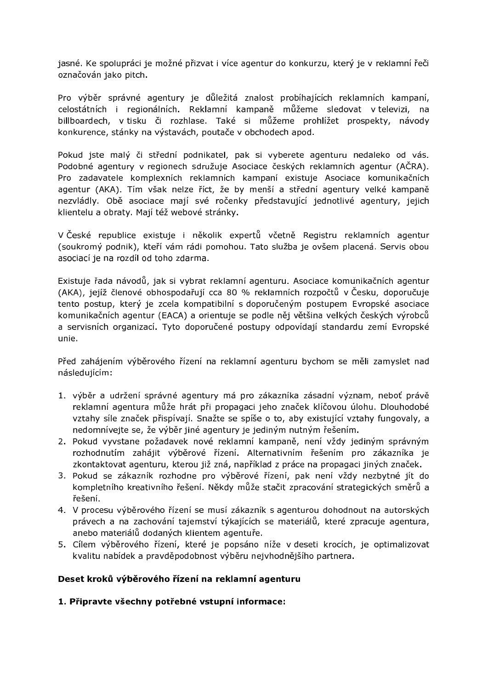jasné. Ke spolupráci je možné přizvat i více agentur do konkurzu, který je v reklamní řeči označován jako pitch.

Pro výběr správné agentury je důležitá znalost probíhajících reklamních kampaní, celostátních i regionálních. Reklamní kampaně můžeme sledovat v televizi, na billboardech, v tisku či rozhlase. Také si můžeme prohlížet prospekty, návody konkurence, stánky na výstavách, poutače v obchodech apod.

Pokud jste malý či střední podnikatel, pak si vyberete agenturu nedaleko od vás. Podobné agentury v regionech sdružuje Asociace českých reklamních agentur (AČRA). Pro zadavatele komplexních reklamních kampaní existuje Asociace komunikačních agentur (AKA). Tím však nelze říct, že by menší a střední agentury velké kampaně nezvládly. Obě asociace mají své ročenky představující jednotlivé agentury, jejich klientelu a obraty. Mají též webové stránky.

V České republice existuje i několik expertů včetně Registru reklamních agentur (soukromý podnik), kteří vám rádi pomohou. Tato služba je ovšem placená. Servis obou asociací je na rozdíl od toho zdarma.

Existuje řada návodů, jak si vybrat reklamní agenturu. Asociace komunikačních agentur (AKA), jejíž členové obhospodařují cca 80 % reklamních rozpočtů v Česku, doporučuje tento postup, který je zcela kompatibilní s doporučeným postupem Evropské asociace komunikačních agentur (EACA) a orientuje se podle něj většina velkých českých výrobců a servisních organizací. Tyto doporučené postupy odpovídají standardu zemí Evropské unie.

Před zahájením výběrového řízení na reklamní agenturu bychom se měli zamyslet nad následujícím:

- 1. výběr a udržení správné agentury má pro zákazníka zásadní význam, neboť právě reklamní agentura může hrát při propagaci jeho značek klíčovou úlohu. Dlouhodobé vztahv síle značek přispívají. Snažte se spíše o to, aby existující vztahy fungovaly, a nedomnívejte se, že výběr jiné agentury je jediným nutným řešením.
- 2. Pokud vyvstane požadavek nové reklamní kampaně, není vždy jediným správným rozhodnutím zahájit výběrové řízení. Alternativním řešením pro zákazníka je zkontaktovat agenturu, kterou již zná, například z práce na propagaci jiných značek.
- 3. Pokud se zákazník rozhodne pro výběrové řízení, pak není vždy nezbytné jít do kompletního kreativního řešení. Někdy může stačit zpracování strategických směrů a řešení.
- 4. V procesu výběrového řízení se musí zákazník s agenturou dohodnout na autorských právech a na zachování tajemství týkajících se materiálů, které zpracuje agentura, anebo materiálů dodaných klientem agentuře.
- 5. Cílem výběrového řízení, které je popsáno níže v deseti krocích, je optimalizovat kvalitu nabídek a pravděpodobnost výběru nejvhodnějšího partnera.

#### Deset kroků výběrového řízení na reklamní agenturu

#### 1. Připravte všechny potřebné vstupní informace: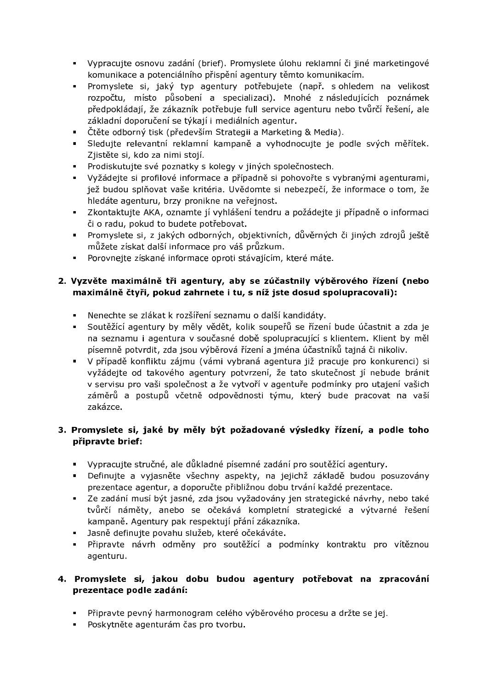- · Vypracujte osnovu zadání (brief). Promyslete úlohu reklamní či jiné marketingové komunikace a potenciálního přispění agentury těmto komunikacím.
- · Promyslete si, jaký typ agentury potřebujete (např. s ohledem na velikost rozpočtu, místo působení a specializaci). Mnohé z následujících poznámek předpokládají, že zákazník potřebuje full service agenturu nebo tvůrčí řešení, ale základní doporučení se týkají i mediálních agentur.
- Čtěte odborný tisk (především Strategii a Marketing & Media).
- · Sledujte relevantní reklamní kampaně a vyhodnocujte je podle svých měřítek. Zjistěte si, kdo za nimi stojí.
- · Prodiskutujte své poznatky s kolegy v jiných společnostech.
- · Vyžádejte si profilové informace a případně si pohovořte s vybranými agenturami, jež budou splňovat vaše kritéria. Uvědomte si nebezpečí, že informace o tom, že hledáte agenturu, brzy pronikne na veřejnost.
- · Zkontaktujte AKA, oznamte jí vyhlášení tendru a požádejte ji případně o informaci či o radu, pokud to budete potřebovat.
- · Promyslete si, z jakých odborných, objektivních, důvěrných či jiných zdrojů ještě můžete získat další informace pro váš průzkum.
- $\mathbf{u}$  . Porovnejte získané informace oproti stávajícím, které máte.

### 2. Vyzvěte maximálně tři agentury, aby se zúčastnily výběrového řízení (nebo maximálně čtyři, pokud zahrnete i tu, s níž jste dosud spolupracovali):

- · Nenechte se zlákat k rozšíření seznamu o další kandidáty.
- · Soutěžící agentury by měly vědět, kolik soupeřů se řízení bude účastnit a zda je na seznamu i agentura v současné době spolupracující s klientem. Klient by měl písemně potvrdit, zda jsou výběrová řízení a jména účastníků tajná či nikoliv.
- · V případě konfliktu zájmu (vámi vybraná agentura již pracuje pro konkurenci) si vyžádejte od takového agentury potvrzení, že tato skutečnost jí nebude bránit v servisu pro vaši společnost a že vytvoří v agentuře podmínky pro utajení vašich záměrů a postupů včetně odpovědnosti týmu, který bude pracovat na vaší zakázce.

### 3. Promyslete si, jaké by měly být požadované výsledky řízení, a podle toho připravte brief:

- Vypracuite stručné, ale důkladné písemné zadání pro soutěžící agentury.
- · Definujte a vyjasněte všechny aspekty, na jejichž základě budou posuzovány prezentace agentur, a doporučte přibližnou dobu trvání každé prezentace.
- · Ze zadání musí být jasné, zda jsou vyžadovány jen strategické návrhy, nebo také tvůrčí náměty, anebo se očekává kompletní strategické a výtvarné řešení kampaně. Agentury pak respektují přání zákazníka.
- Jasně definujte povahu služeb, které očekáváte.
- · Připravte návrh odměny pro soutěžící a podmínky kontraktu pro vítěznou agenturu.

### 4. Promyslete si, jakou dobu budou agentury potřebovat na zpracování prezentace podle zadání:

- · Připravte pevný harmonogram celého výběrového procesu a držte se jej.
- · Poskytněte agenturám čas pro tvorbu.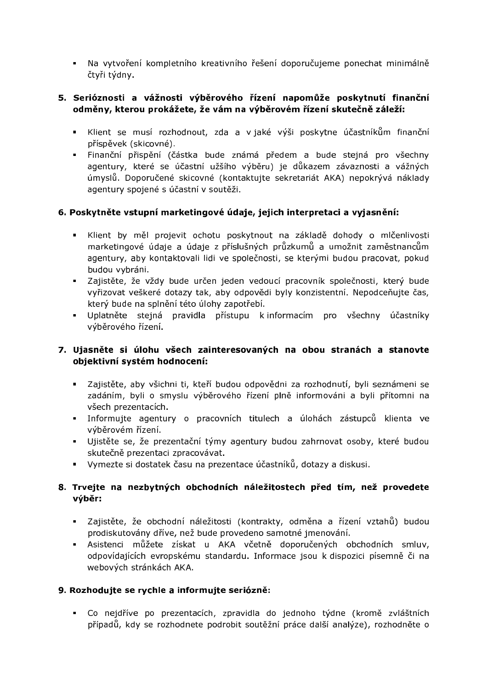· Na vytvoření kompletního kreativního řešení doporučujeme ponechat minimálně čtyři týdny.

### 5. Serióznosti a vážnosti výběrového řízení napomůže poskytnutí finanční odměny, kterou prokážete, že vám na výběrovém řízení skutečně záleží:

- Klient se musí rozhodnout, zda a v jaké výši poskytne účastníkům finanční příspěvek (skicovné).
- · Finanční přispění (částka bude známá předem a bude stejná pro všechny agentury, které se účastní užšího výběru) je důkazem závaznosti a vážných úmyslů. Doporučené skicovné (kontaktujte sekretariát AKA) nepokrývá náklady agentury spojené s účastní v soutěži.

### 6. Poskytněte vstupní marketingové údaje, jejich interpretaci a vyjasnění:

- · Klient by měl projevit ochotu poskytnout na základě dohody o mlčenlivosti marketingové údaje a údaje z příslušných průzkumů a umožnit zaměstnancům agentury, aby kontaktovali lidi ve společnosti, se kterými budou pracovat, pokud budou vybráni.
- · Zajistěte, že vždy bude určen jeden vedoucí pracovník společnosti, který bude vyřizovat veškeré dotazy tak, aby odpovědi byly konzistentní. Nepodceňujte čas, který bude na splnění této úlohy zapotřebí.
- · Uplatněte stejná pravidla přístupu k informacím pro všechny účastníky výběrového řízení.

### 7. Ujasněte si úlohu všech zainteresovaných na obou stranách a stanovte objektivní systém hodnocení:

- · Zajistěte, aby všichni ti, kteří budou odpovědni za rozhodnutí, byli seznámeni se zadáním, byli o smyslu výběrového řízení plně informováni a byli přítomni na všech prezentacích.
- · Informujte agentury o pracovních titulech a úlohách zástupců klienta ve výběrovém řízení.
- · Ujistěte se, že prezentační týmy agentury budou zahrnovat osoby, které budou skutečně prezentaci zpracovávat.
- Vymezte si dostatek času na prezentace účastníků, dotazy a diskusi.

### 8. Trvejte na nezbytných obchodních náležitostech před tím, než provedete výběr:

- · Zajistěte, že obchodní náležitosti (kontrakty, odměna a řízení vztahů) budou prodiskutovány dříve, než bude provedeno samotné jmenování.
- Asistenci můžete získat u AKA včetně doporučených obchodních smluv, odpovídajících evropskému standardu. Informace jsou k dispozici písemně či na webových stránkách AKA.

#### 9. Rozhodujte se rychle a informujte seriózně:

· Co nejdříve po prezentacích, zpravidla do jednoho týdne (kromě zvláštních případů, kdy se rozhodnete podrobit soutěžní práce další analýze), rozhodněte o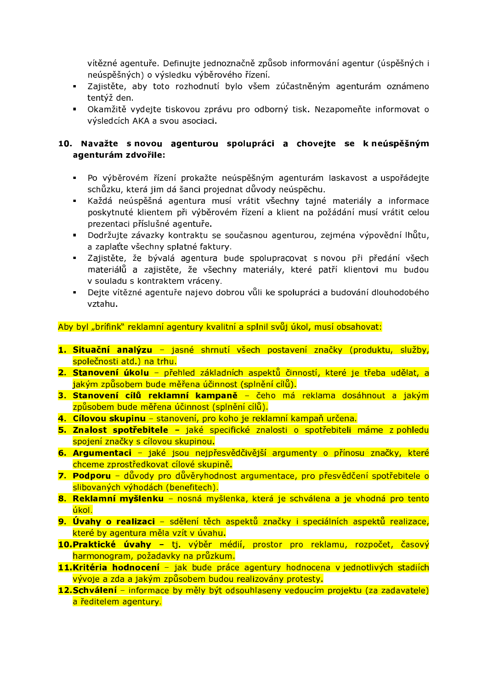vítězné agentuře. Definujte jednoznačně způsob informování agentur (úspěšných i neúspěšných) o výsledku výběrového řízení.

- · Zajistěte, aby toto rozhodnutí bylo všem zúčastněným agenturám oznámeno tentýž den.
- · Okamžitě vydejte tiskovou zprávu pro odborný tisk. Nezapomeňte informovat o výsledcích AKA a svou asociaci.

### 10. Navažte s novou agenturou spolupráci a chovejte se k neúspěšným agenturám zdvořile:

- · Po výběrovém řízení prokažte neúspěšným agenturám laskavost a uspořádejte schůzku, která jim dá šanci projednat důvody neúspěchu.
- Každá neúspěšná agentura musí vrátit všechny tajné materiály a informace poskytnuté klientem při výběrovém řízení a klient na požádání musí vrátit celou prezentaci příslušné agentuře.
- · Dodržujte závazky kontraktu se současnou agenturou, zejména výpovědní lhůtu, a zaplaťte všechny splatné faktury.
- · Zajistěte, že bývalá agentura bude spolupracovat s novou při předání všech materiálů a zajistěte, že všechny materiály, které patří klientovi mu budou v souladu s kontraktem vráceny.
- Dejte vítězné agentuře najevo dobrou vůli ke spolupráci a budování dlouhodobého vztahu.

Aby byl "brífink" reklamní agentury kvalitní a splnil svůj úkol, musí obsahovat:

- 1. Situační analýzu jasné shrnutí všech postavení značky (produktu, služby, společnosti atd.) na trhu.
- 2. Stanovení úkolu přehled základních aspektů činností, které je třeba udělat, a jakým způsobem bude měřena účinnost (splnění cílů).
- 3. Stanovení cílů reklamní kampaně čeho má reklama dosáhnout a jakým způsobem bude měřena účinnost (splnění cílů).
- 4. Cílovou skupinu stanovení, pro koho je reklamní kampaň určena.
- 5. Znalost spotřebitele jaké specifické znalosti o spotřebiteli máme z pohledu spojení značky s cílovou skupinou.
- 6. Argumentaci jaké jsou nejpřesvědčivější argumenty o přínosu značky, které chceme zprostředkovat cílové skupině.
- 7. Podporu důvody pro důvěryhodnost argumentace, pro přesvědčení spotřebitele o slibovaných výhodách (benefitech).
- 8. Reklamní myšlenku nosná myšlenka, která je schválena a je vhodná pro tento úkol.
- 9. Úvahy o realizaci sdělení těch aspektů značky i speciálních aspektů realizace, které by agentura měla vzít v úvahu.
- 10. Praktické úvahy tj. výběr médií, prostor pro reklamu, rozpočet, časový harmonogram, požadavky na průzkum.
- 11.Kritéria hodnocení jak bude práce agentury hodnocena v jednotlivých stadiích vývoje a zda a jakým způsobem budou realizovány protesty.
- 12. Schválení informace by měly být odsouhlaseny vedoucím projektu (za zadavatele) a ředitelem agentury.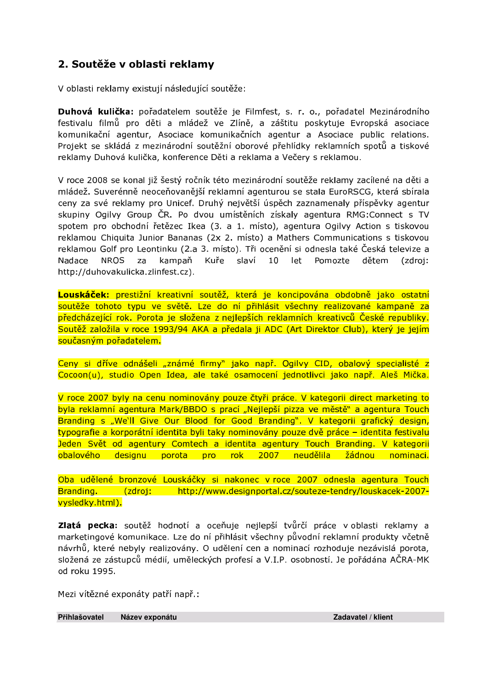# 2. Soutěže v oblasti reklamy

V oblasti reklamy existují následující soutěže:

Duhová kulička: pořadatelem soutěže je Filmfest, s. r. o., pořadatel Mezinárodního festivalu filmů pro děti a mládež ve Zlíně, a záštitu poskytuje Evropská asociace komunikační agentur, Asociace komunikačních agentur a Asociace public relations. Projekt se skládá z mezinárodní soutěžní oborové přehlídky reklamních spotů a tiskové reklamy Duhová kulička, konference Děti a reklama a Večery s reklamou.

V roce 2008 se konal již šestý ročník této mezinárodní soutěže reklamy zacílené na děti a mládež. Suverénně neoceňovanější reklamní agenturou se stala EuroRSCG, která sbírala ceny za své reklamy pro Unicef. Druhý největší úspěch zaznamenaly příspěvky agentur skupiny Ogilvy Group ČR. Po dvou umístěních získaly agentura RMG:Connect s TV spotem pro obchodní řetězec Ikea (3. a 1. místo), agentura Ogilvy Action s tiskovou reklamou Chiquita Junior Bananas (2x 2. místo) a Mathers Communications s tiskovou reklamou Golf pro Leontinku (2.a 3. místo). Tři ocenění si odnesla také Česká televize a **NROS** Kuře slaví let Nadace  $7a$ kampaň  $10<sup>1</sup>$ Pomozte dětem (zdroj: http://duhovakulicka.zlinfest.cz).

Louskáček: prestižní kreativní soutěž, která je koncipována obdobně jako ostatní soutěže tohoto typu ve světě. Lze do ní přihlásit všechny realizované kampaně za předcházející rok. Porota je složena z nejlepších reklamních kreativců České republiky. Soutěž založila v roce 1993/94 AKA a předala ji ADC (Art Direktor Club), který je jejím současným pořadatelem.

Ceny si dříve odnášeli "známé firmy" jako např. Ogilvy CID, obalový specialisté z Cocoon(u), studio Open Idea, ale také osamocení jednotlivci jako např. Aleš Mička.

V roce 2007 byly na cenu nominovány pouze čtvři práce. V kategorii direct marketing to byla reklamní agentura Mark/BBDO s prací "Nejlepší pizza ve městě" a agentura Touch Branding s "We'll Give Our Blood for Good Branding". V kategorii grafický design, typografie a korporátní identita byli taky nominovány pouze dvě práce – identita festivalu Jeden Svět od agentury Comtech a identita agentury Touch Branding. V kategorii obalového designu porota pro rok 2007 neudělila žádnou nominaci.

Oba udělené bronzové Louskáčky si nakonec v roce 2007 odnesla agentura Touch Branding. (zdroj: http://www.designportal.cz/souteze-tendry/louskacek-2007vysledky.html).

Zlatá pecka: soutěž hodnotí a oceňuje nejlepší tvůrčí práce v oblasti reklamy a marketingové komunikace. Lze do ní přihlásit všechny původní reklamní produkty včetně návrhů, které nebyly realizovány. O udělení cen a nominací rozhoduje nezávislá porota, složená ze zástupců médií, uměleckých profesí a V.I.P. osobností. Je pořádána AČRA-MK od roku 1995

Mezi vítězné exponáty patří např.:

Přihlašovatel Název exponátu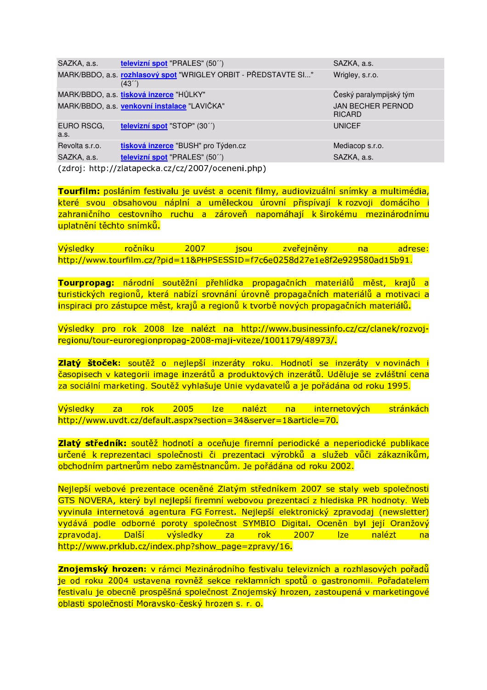SAZKA, a.s. televizní spot "PRALES" (50") MARK/BBDO, a.s. rozhlasový spot "WRIGLEY ORBIT - PŘEDSTAVTE SI..."  $(43'')$ MARK/BBDO, a.s. tisková inzerce "HŮLKY" MARK/BBDO, a.s. venkovní instalace "LAVIČKA" EURO RSCG. televizní spot "STOP" (30") a.s. tisková inzerce "BUSH" pro Týden.cz Revolta s.r.o. SAZKA, a.s. televizní spot "PRALES" (50") (zdroj: http://zlatapecka.cz/cz/2007/oceneni.php)

SAZKA, a.s. Wrigley, s.r.o.

Český paralympijský tým **JAN BECHER PERNOD RICARD UNICEF** 

Mediacop s.r.o. SAZKA, a.s.

Tourfilm: posláním festivalu je uvést a ocenit filmy, audiovizuální snímky a multimédia, které svou obsahovou náplní a uměleckou úrovní přispívají k rozvoji domácího i zahraničního cestovního ruchu a zároveň napomáhají k širokému mezinárodnímu uplatnění těchto snímků.

Výsledky ročníku 2007 isou zveřejněny na adrese: http://www.tourfilm.cz/?pid=11&PHPSESSID=f7c6e0258d27e1e8f2e929580ad15b91.

Tourpropag: národní soutěžní přehlídka propagačních materiálů měst, krajů a turistických regionů, která nabízí srovnání úrovně propagačních materiálů a motivaci a inspiraci pro zástupce měst, krajů a regionů k tvorbě nových propagačních materiálů.

Výsledky pro rok 2008 lze nalézt na http://www.businessinfo.cz/cz/clanek/rozvojregionu/tour-euroregionpropag-2008-maij-viteze/1001179/48973/.

Zlatý štoček: soutěž o nejlepší inzeráty roku. Hodnotí se inzeráty v novinách i časopisech v kategorii image inzerátů a produktových inzerátů. Uděluje se zvláštní cena za sociální marketing. Soutěž vyhlašuje Unie vydavatelů a je pořádána od roku 1995.

Výsledky za rok 2005 lze nalézt  $na$ internetových stránkách http://www.uvdt.cz/default.aspx?section=34&server=1&article=70.

Zlatý středník: soutěž hodnotí a oceňuje firemní periodické a neperiodické publikace určené k reprezentaci společnosti či prezentaci výrobků a služeb vůči zákazníkům, obchodním partnerům nebo zaměstnancům. Je pořádána od roku 2002.

Nejlepší webové prezentace oceněné Zlatým středníkem 2007 se staly web společnosti GTS NOVERA, který byl nejlepší firemní webovou prezentací z hlediska PR hodnoty. Web vyvinula internetová agentura FG Forrest. Nejlepší elektronický zpravodaj (newsletter) vydává podle odborné poroty společnost SYMBIO Digital. Oceněn byl její Oranžový zpravodaj. Další výsledky za rok 2007 lze nalézt na http://www.prklub.cz/index.php?show\_page=zpravy/16.

Znojemský hrozen: v rámci Mezinárodního festivalu televizních a rozhlasových pořadů je od roku 2004 ustavena rovněž sekce reklamních spotů o gastronomii. Pořadatelem festivalu je obecně prospěšná společnost Znojemský hrozen, zastoupená v marketingové oblasti společností Moravsko-český hrozen s. r. o.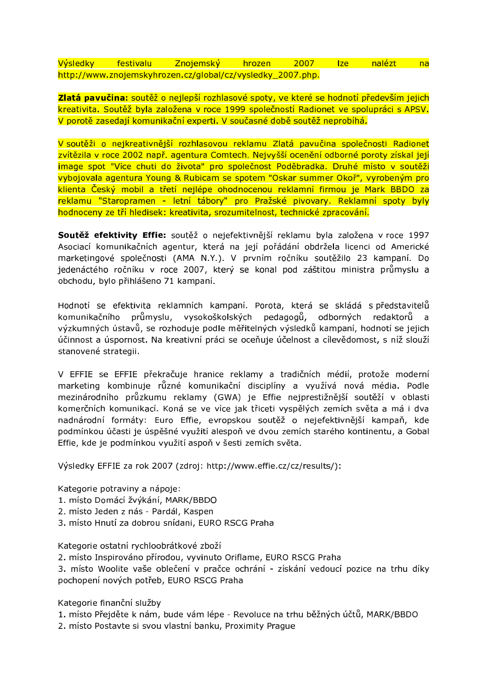Výsledky festivalu Znojemský hrozen 2007 lze nalézt  $na$ http://www.znojemskyhrozen.cz/global/cz/vysledky\_2007.php.

Zlatá pavučina: soutěž o nejlepší rozhlasové spoty, ve které se hodnotí především jejich kreativita. Soutěž byla založena v roce 1999 společností Radionet ve spolupráci s APSV. V porotě zasedají komunikační experti. V současné době soutěž neprobíhá.

V soutěži o nejkreativnější rozhlasovou reklamu Zlatá pavučina společnosti Radionet zvítězila v roce 2002 např. agentura Comtech. Nejvyšší ocenění odborné poroty získal její image spot "Více chuti do života" pro společnost Poděbradka. Druhé místo v soutěži vybojovala agentura Young & Rubicam se spotem "Oskar summer Okoř", vyrobeným pro klienta Český mobil a třetí nejlépe ohodnocenou reklamní firmou je Mark BBDO za reklamu "Staropramen - letní tábory" pro Pražské pivovary. Reklamní spoty byly hodnoceny ze tří hledisek: kreativita, srozumitelnost, technické zpracování.

Soutěž efektivity Effie: soutěž o nejefektivnější reklamu byla založena v roce 1997 Asociací komunikačních agentur, která na její pořádání obdržela licenci od Americké marketingové společnosti (AMA N.Y.). V prvním ročníku soutěžilo 23 kampaní. Do jedenáctého ročníku v roce 2007, který se konal pod záštitou ministra průmyslu a obchodu, bylo přihlášeno 71 kampaní.

Hodnotí se efektivita reklamních kampaní. Porota, která se skládá s představitelů průmyslu, vysokoškolských pedagogů, odborných komunikačního redaktorů a výzkumných ústavů, se rozhoduje podle měřitelných výsledků kampaní, hodnotí se jejich účinnost a úspornost. Na kreativní práci se oceňuje účelnost a cílevědomost, s níž slouží stanovené strategii.

V EFFIE se EFFIE překračuje hranice reklamy a tradičních médií, protože moderní marketing kombinuje různé komunikační disciplíny a využívá nová média. Podle mezinárodního průzkumu reklamy (GWA) je Effie nejprestižnější soutěží v oblasti komerčních komunikací. Koná se ve více jak třiceti vyspělých zemích světa a má i dva nadnárodní formáty: Euro Effie, evropskou soutěž o nejefektivnější kampaň, kde podmínkou účasti je úspěšné využití alespoň ve dvou zemích starého kontinentu, a Gobal Effie, kde je podmínkou využití aspoň v šesti zemích světa.

Výsledky EFFIE za rok 2007 (zdroj: http://www.effie.cz/cz/results/):

Kategorie potraviny a nápoje:

- 1. místo Domácí žvýkání, MARK/BBDO
- 2. místo Jeden z nás Pardál, Kaspen
- 3. místo Hnutí za dobrou snídani, EURO RSCG Praha

Kategorie ostatní rychloobrátkové zboží

2. místo Inspirováno přírodou, vyvinuto Oriflame, EURO RSCG Praha

3. místo Woolite vaše oblečení v pračce ochrání - získání vedoucí pozice na trhu díky pochopení nových potřeb, EURO RSCG Praha

Kategorie finanční služby

- 1. místo Přejděte k nám, bude vám lépe Revoluce na trhu běžných účtů, MARK/BBDO
- 2. místo Postavte si svou vlastní banku, Proximity Prague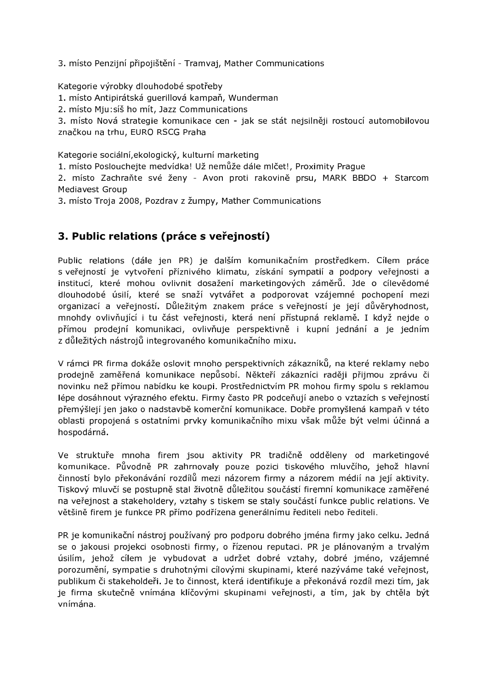3. místo Penzijní připojištění - Tramvaj, Mather Communications

Kategorie výrobky dlouhodobé spotřeby

1. místo Antipirátská guerillová kampaň, Wunderman

2. místo Mju: síš ho mít, Jazz Communications

3. místo Nová strategie komunikace cen - jak se stát nejsilněji rostoucí automobilovou značkou na trhu, EURO RSCG Praha

Kategorie sociální, ekologický, kulturní marketing

1. místo Poslouchejte medvídka! Už nemůže dále mlčet!, Proximity Prague

2. místo Zachraňte své ženy - Avon proti rakovině prsu, MARK BBDO + Starcom Mediavest Group

3. místo Troja 2008, Pozdrav z žumpy, Mather Communications

# 3. Public relations (práce s veřejností)

Public relations (dále jen PR) je dalším komunikačním prostředkem. Cílem práce s veřejností je vytvoření příznivého klimatu, získání sympatií a podpory veřejnosti a institucí, které mohou ovlivnit dosažení marketingových záměrů. Jde o cílevědomé dlouhodobé úsilí, které se snaží vytvářet a podporovat vzájemné pochopení mezi organizací a veřejností. Důležitým znakem práce s veřejností je její důvěryhodnost, mnohdy ovlivňující i tu část veřejnosti, která není přístupná reklamě. I když nejde o přímou prodejní komunikaci, ovlivňuje perspektivně i kupní jednání a je jedním z důležitých nástrojů integrovaného komunikačního mixu.

V rámci PR firma dokáže oslovit mnoho perspektivních zákazníků, na které reklamy nebo prodejně zaměřená komunikace nepůsobí. Někteří zákazníci raději přijmou zprávu či novinku než přímou nabídku ke koupi. Prostřednictvím PR mohou firmy spolu s reklamou lépe dosáhnout výrazného efektu. Firmy často PR podceňují anebo o vztazích s veřejností přemýšlejí jen jako o nadstavbě komerční komunikace. Dobře promyšlená kampaň v této oblasti propojená s ostatními prvky komunikačního mixu však může být velmi účinná a hospodárná.

Ve struktuře mnoha firem jsou aktivity PR tradičně odděleny od marketingové komunikace. Původně PR zahrnovaly pouze pozici tiskového mluvčího, jehož hlavní činností bylo překonávání rozdílů mezi názorem firmy a názorem médií na její aktivity. Tiskový mluvčí se postupně stal životně důležitou součástí firemní komunikace zaměřené na veřejnost a stakeholdery, vztahy s tiskem se staly součástí funkce public relations. Ve většině firem je funkce PR přímo podřízena generálnímu řediteli nebo řediteli.

PR je komunikační nástroj používaný pro podporu dobrého jména firmy jako celku. Jedná se o jakousi projekci osobnosti firmy, o řízenou reputaci. PR je plánovaným a trvalým úsilím, jehož cílem je vybudovat a udržet dobré vztahy, dobré jméno, vzájemné porozumění, sympatie s druhotnými cílovými skupinami, které nazýváme také veřejnost, publikum či stakeholdeři. Je to činnost, která identifikuje a překonává rozdíl mezi tím, jak je firma skutečně vnímána klíčovými skupinami veřejnosti, a tím, jak by chtěla být vnímána.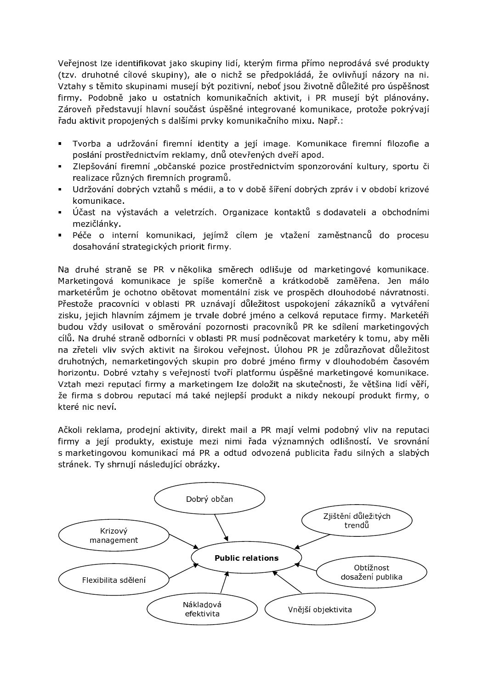Veřejnost lze identifikovat jako skupiny lidí, kterým firma přímo neprodává své produkty (tzv. druhotné cílové skupiny), ale o nichž se předpokládá, že ovlivňují názory na ni. Vztahy s těmito skupinami musejí být pozitivní, neboť jsou životně důležité pro úspěšnost firmy. Podobně jako u ostatních komunikačních aktivit, i PR musejí být plánovány. Zároveň představují hlavní součást úspěšné integrované komunikace, protože pokrývají řadu aktivit propojených s dalšími prvky komunikačního mixu. Např.:

- Tvorba a udržování firemní identity a její image. Komunikace firemní filozofie a poslání prostřednictvím reklamy, dnů otevřených dveří apod.
- Zlepšování firemní "občanské pozice prostřednictvím sponzorování kultury, sportu či realizace různých firemních programů.
- Udržování dobrých vztahů s médii, a to v době šíření dobrých zpráv i v období krizové  $\mathbf{u} = \mathbf{0}$ komunikace.
- Účast na výstavách a veletrzích. Organizace kontaktů s dodavateli a obchodními mezičlánky.
- Péče o interní komunikaci, jejímž cílem je vtažení zaměstnanců do procesu dosahování strategických priorit firmy.

Na druhé straně se PR v několika směrech odlišuje od marketingové komunikace. Marketingová komunikace je spíše komerčně a krátkodobě zaměřena. Jen málo marketérům je ochotno obětovat momentální zisk ve prospěch dlouhodobé návratnosti. Přestože pracovníci v oblasti PR uznávají důležitost uspokojení zákazníků a vytváření zisku, jejich hlavním zájmem je trvale dobré jméno a celková reputace firmy. Marketéři budou vždy usilovat o směrování pozornosti pracovníků PR ke sdílení marketingových cílů. Na druhé straně odborníci v oblasti PR musí podněcovat marketéry k tomu, aby měli na zřeteli vliv svých aktivit na širokou veřejnost. Úlohou PR je zdůrazňovat důležitost druhotných, nemarketingových skupin pro dobré jméno firmy v dlouhodobém časovém horizontu. Dobré vztahy s veřejností tvoří platformu úspěšné marketingové komunikace. Vztah mezi reputací firmy a marketingem lze doložit na skutečnosti, že většina lidí věří, že firma s dobrou reputací má také nejlepší produkt a nikdy nekoupí produkt firmy, o které nic neví.

Ačkoli reklama, prodejní aktivity, direkt mail a PR mají velmi podobný vliv na reputaci firmy a její produkty, existuje mezi nimi řada významných odlišností. Ve srovnání s marketingovou komunikací má PR a odtud odvozená publicita řadu silných a slabých stránek. Tv shrnují následující obrázky.

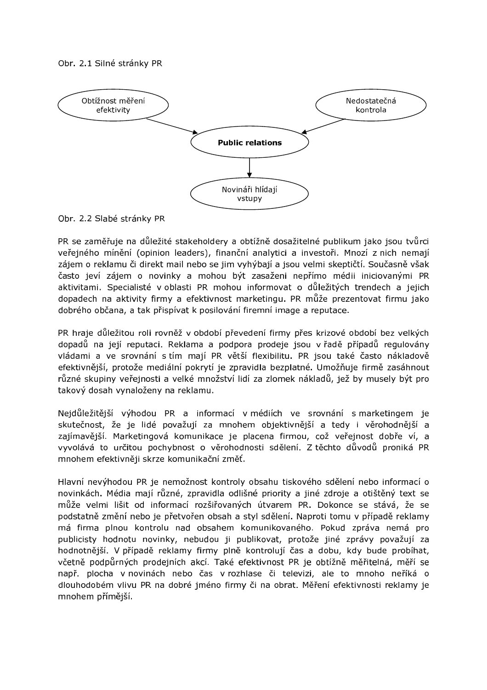#### Obr. 2.1 Silné stránky PR



Obr. 2.2 Slabé stránky PR

PR se zaměřuje na důležité stakeholdery a obtížně dosažitelné publikum jako jsou tvůrci veřejného mínění (opinion leaders), finanční analytici a investoři. Mnozí z nich nemají zájem o reklamu či direkt mail nebo se jim vyhýbají a jsou velmi skeptičtí. Současně však často jeví zájem o novinky a mohou být zasaženi nepřímo médii iniciovanými PR aktivitami. Specialisté v oblasti PR mohou informovat o důležitých trendech a jejich dopadech na aktivity firmy a efektivnost marketingu. PR může prezentovat firmu jako dobrého občana, a tak přispívat k posilování firemní image a reputace.

PR hraje důležitou roli rovněž v období převedení firmy přes krizové období bez velkých dopadů na její reputaci. Reklama a podpora prodeje jsou v řadě případů regulovány vládami a ve srovnání s tím mají PR větší flexibilitu. PR jsou také často nákladově efektivnější, protože mediální pokrytí je zpravidla bezplatné. Umožňuje firmě zasáhnout různé skupiny veřejnosti a velké množství lidí za zlomek nákladů, jež by musely být pro takový dosah vynaloženy na reklamu.

Nejdůležitější výhodou PR a informací v médiích ve srovnání s marketingem je skutečnost, že je lidé považují za mnohem objektivnější a tedy i věrohodnější a zajímavější. Marketingová komunikace je placena firmou, což veřejnost dobře ví, a vyvolává to určitou pochybnost o věrohodnosti sdělení. Z těchto důvodů proniká PR mnohem efektivněji skrze komunikační změť.

Hlavní nevýhodou PR je nemožnost kontroly obsahu tiskového sdělení nebo informací o novinkách. Média mají různé, zpravidla odlišné priority a jiné zdroje a otištěný text se může velmi lišit od informací rozšiřovaných útvarem PR. Dokonce se stává, že se podstatně změní nebo je přetvořen obsah a styl sdělení. Naproti tomu v případě reklamy má firma plnou kontrolu nad obsahem komunikovaného. Pokud zpráva nemá pro publicisty hodnotu novinky, nebudou ji publikovat, protože jiné zprávy považují za hodnotnější. V případě reklamy firmy plně kontrolují čas a dobu, kdy bude probíhat, včetně podpůrných prodejních akcí. Také efektivnost PR je obtížně měřitelná, měří se např. plocha v novinách nebo čas v rozhlase či televizi, ale to mnoho neříká o dlouhodobém vlivu PR na dobré jméno firmy či na obrat. Měření efektivnosti reklamy je mnohem přímější.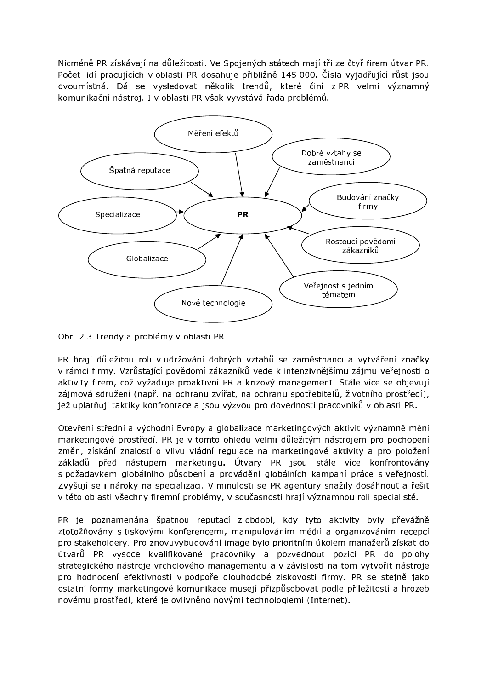Nicméně PR získávají na důležitosti. Ve Spojených státech mají tři ze čtyř firem útvar PR. Počet lidí pracujících v oblasti PR dosahuje přibližně 145 000. Čísla vyjadřující růst jsou dvoumístná. Dá se vysledovat několik trendů, které činí z PR velmi významný komunikační nástroj. I v oblasti PR však vyvstává řada problémů.



Obr. 2.3 Trendy a problémy v oblasti PR

PR hrají důležitou roli v udržování dobrých vztahů se zaměstnanci a vytváření značky v rámci firmy. Vzrůstající povědomí zákazníků vede k intenzivnějšímu zájmu veřejnosti o aktivity firem, což vyžaduje proaktivní PR a krizový management. Stále více se objevují zájmová sdružení (např. na ochranu zvířat, na ochranu spotřebitelů, životního prostředí), jež uplatňují taktiky konfrontace a jsou výzvou pro dovednosti pracovníků v oblasti PR.

Otevření střední a východní Evropy a globalizace marketingových aktivit významně mění marketingové prostředí. PR je v tomto ohledu velmi důležitým nástrojem pro pochopení změn, získání znalostí o vlivu vládní regulace na marketingové aktivity a pro položení základů před nástupem marketingu. Útvary PR jsou stále více konfrontovány s požadavkem globálního působení a provádění globálních kampaní práce s veřejností. Zvyšují se i nároky na specializaci. V minulosti se PR agentury snažily dosáhnout a řešit v této oblasti všechny firemní problémy, v současnosti hrají významnou roli specialisté.

PR je poznamenána špatnou reputací z období, kdy tyto aktivity byly převážně ztotožňovány s tiskovými konferencemi, manipulováním médií a organizováním recepcí pro stakeholdery. Pro znovuvybudování image bylo prioritním úkolem manažerů získat do útvarů PR vysoce kvalifikované pracovníky a pozvednout pozici PR do polohy strategického nástroje vrcholového managementu a v závislosti na tom vytvořit nástroje pro hodnocení efektivnosti v podpoře dlouhodobé ziskovosti firmy. PR se stejně jako ostatní formy marketingové komunikace musejí přizpůsobovat podle příležitostí a hrozeb novému prostředí, které je ovlivněno novými technologiemi (Internet).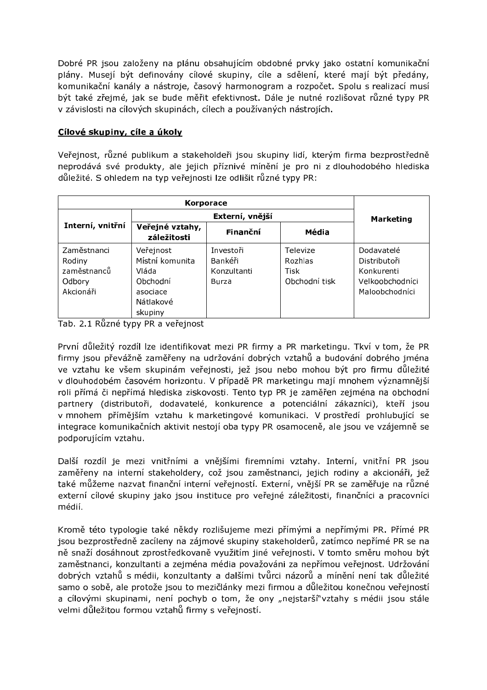Dobré PR jsou založeny na plánu obsahujícím obdobné prvky jako ostatní komunikační plány. Musejí být definovány cílové skupiny, cíle a sdělení, které mají být předány, komunikační kanály a nástroje, časový harmonogram a rozpočet. Spolu s realizací musí být také zřejmé, jak se bude měřit efektivnost. Dále je nutné rozlišovat různé typy PR v závislosti na cílových skupinách, cílech a používaných nástrojích.

### Cílové skupiny, cíle a úkoly

Veřejnost, různé publikum a stakeholdeři jsou skupiny lidí, kterým firma bezprostředně neprodává své produkty, ale jejich příznivé mínění je pro ni z dlouhodobého hlediska důležité. S ohledem na typ veřejnosti lze odlišit různé typy PR:

|                  |                                | <b>Marketing</b> |                |                 |
|------------------|--------------------------------|------------------|----------------|-----------------|
| Interní, vnitřní | Veřejné vztahy,<br>záležitosti | Finanční         | Média          |                 |
| Zaměstnanci      | Veřejnost                      | Investoři        | Televize       | Dodavatelé      |
| Rodiny           | Místní komunita                | Bankéři          | <b>Rozhlas</b> | Distributoři    |
| zaměstnanců      | Vláda                          | Konzultanti      | Tisk           | Konkurenti      |
| Odbory           | Obchodní                       | Burza            | Obchodní tisk  | Veľkoobchodníci |
| Akcionáři        | asociace                       |                  |                | Maloobchodníci  |
|                  | Nátlakové                      |                  |                |                 |
|                  | skupiny                        |                  |                |                 |

Tab. 2.1 Různé typy PR a veřejnost

První důležitý rozdíl lze identifikovat mezi PR firmy a PR marketingu. Tkví v tom, že PR firmy jsou převážně zaměřeny na udržování dobrých vztahů a budování dobrého jména ve vztahu ke všem skupinám veřejnosti, jež jsou nebo mohou být pro firmu důležité v dlouhodobém časovém horizontu. V případě PR marketingu mají mnohem významnější roli přímá či nepřímá hlediska ziskovosti. Tento typ PR je zaměřen zejména na obchodní partnery (distributoři, dodavatelé, konkurence a potenciální zákazníci), kteří jsou v mnohem přímějším vztahu k marketingové komunikaci. V prostředí prohlubující se integrace komunikačních aktivit nestojí oba typy PR osamoceně, ale jsou ve vzájemně se podporujícím vztahu.

Další rozdíl je mezi vnitřními a vnějšími firemními vztahy. Interní, vnitřní PR jsou zaměřeny na interní stakeholdery, což jsou zaměstnanci, jejich rodiny a akcionáři, jež také můžeme nazvat finanční interní veřejností. Externí, vnější PR se zaměřuje na různé externí cílové skupiny jako jsou instituce pro veřejné záležitosti, finančníci a pracovníci médií.

Kromě této typologie také někdy rozlišujeme mezi přímými a nepřímými PR. Přímé PR jsou bezprostředně zacíleny na zájmové skupiny stakeholderů, zatímco nepřímé PR se na ně snaží dosáhnout zprostředkovaně využitím jiné veřejnosti. V tomto směru mohou být zaměstnanci, konzultanti a zejména média považováni za nepřímou veřejnost. Udržování dobrých vztahů s médii, konzultanty a dalšími tvůrci názorů a mínění není tak důležité samo o sobě, ale protože jsou to mezičlánky mezi firmou a důležitou konečnou veřejností a cílovými skupinami, není pochyb o tom, že ony "nejstarší" vztahy s médii jsou stále velmi důležitou formou vztahů firmy s veřejností.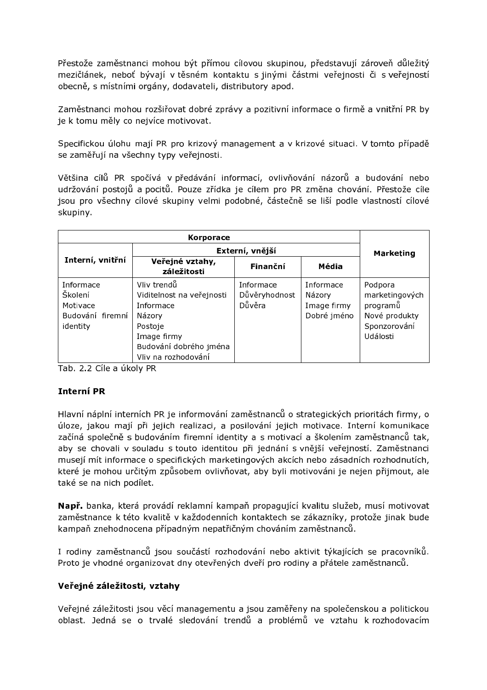Přestože zaměstnanci mohou být přímou cílovou skupinou, představují zároveň důležitý mezičlánek, neboť bývají v těsném kontaktu s jinými částmi veřejnosti či s veřejností obecně, s místními orgány, dodavateli, distributory apod.

Zaměstnanci mohou rozšiřovat dobré zprávy a pozitivní informace o firmě a vnitřní PR by je k tomu měly co nejvíce motivovat.

Specifickou úlohu mají PR pro krizový management a v krizové situaci. V tomto případě se zaměřují na všechny typy veřejnosti.

Většina cílů PR spočívá v předávání informací, ovlivňování názorů a budování nebo udržování postojů a pocitů. Pouze zřídka je cílem pro PR změna chování. Přestože cíle jsou pro všechny cílové skupiny velmi podobné, částečně se liší podle vlastností cílové skupiny.

|                                                                  | Externí, vnější                                                                                                                            | <b>Marketing</b>                     |                                                   |                                                                                    |  |
|------------------------------------------------------------------|--------------------------------------------------------------------------------------------------------------------------------------------|--------------------------------------|---------------------------------------------------|------------------------------------------------------------------------------------|--|
| Interní, vnitřní                                                 | Veřejné vztahy,<br>záležitosti                                                                                                             | Finanční                             | Média                                             |                                                                                    |  |
| Informace<br>Školení<br>Motivace<br>Budování firemní<br>identity | Vliv trendů<br>Viditelnost na veřejnosti<br>Informace<br>Názory<br>Postoje<br>Image firmy<br>Budování dobrého jména<br>Vliv na rozhodování | Informace<br>Důvěryhodnost<br>Důvěra | Informace<br>Názory<br>Image firmy<br>Dobré jméno | Podpora<br>marketingových<br>programů<br>Nové produkty<br>Sponzorování<br>Události |  |

Tab. 2.2 Cíle a úkoly PR

### **Interní PR**

Hlavní náplní interních PR je informování zaměstnanců o strategických prioritách firmy, o úloze, jakou mají při jejich realizaci, a posilování jejich motivace. Interní komunikace začíná společně s budováním firemní identity a s motivací a školením zaměstnanců tak, aby se chovali v souladu s touto identitou při jednání s vnější veřejností. Zaměstnanci musejí mít informace o specifických marketingových akcích nebo zásadních rozhodnutích, které je mohou určitým způsobem ovlivňovat, aby byli motivováni je nejen přijmout, ale také se na nich podílet.

Např. banka, která provádí reklamní kampaň propagující kvalitu služeb, musí motivovat zaměstnance k této kvalitě v každodenních kontaktech se zákazníky, protože jinak bude kampaň znehodnocena případným nepatřičným chováním zaměstnanců.

I rodiny zaměstnanců jsou součástí rozhodování nebo aktivit týkajících se pracovníků. Proto je vhodné organizovat dny otevřených dveří pro rodiny a přátele zaměstnanců.

#### Veřejné záležitosti, vztahy

Veřejné záležitosti jsou věcí managementu a jsou zaměřeny na společenskou a politickou oblast. Jedná se o trvalé sledování trendů a problémů ve vztahu k rozhodovacím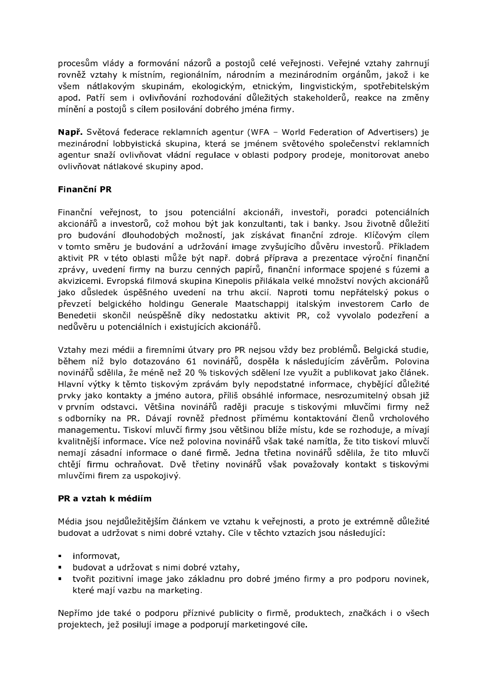procesům vlády a formování názorů a postojů celé veřejnosti. Veřejné vztahy zahrnují rovněž vztahy k místním, regionálním, národním a mezinárodním orgánům, jakož i ke všem nátlakovým skupinám, ekologickým, etnickým, lingvistickým, spotřebitelským apod. Patří sem i ovlivňování rozhodování důležitých stakeholderů, reakce na změny mínění a postojů s cílem posilování dobrého jména firmy.

Např. Světová federace reklamních agentur (WFA - World Federation of Advertisers) je mezinárodní lobbyistická skupina, která se jménem světového společenství reklamních agentur snaží ovlivňovat vládní regulace v oblasti podpory prodeje, monitorovat anebo ovlivňovat nátlakové skupiny apod.

### Finanční PR

Finanční veřejnost, to jsou potenciální akcionáři, investoři, poradci potenciálních akcionářů a investorů, což mohou být jak konzultanti, tak i banky. Jsou životně důležití pro budování dlouhodobých možností, jak získávat finanční zdroje. Klíčovým cílem v tomto směru je budování a udržování image zvyšujícího důvěru investorů. Příkladem aktivit PR v této oblasti může být např. dobrá příprava a prezentace výroční finanční zprávy, uvedení firmy na burzu cenných papírů, finanční informace spojené s fúzemi a akvizicemi. Evropská filmová skupina Kinepolis přilákala velké množství nových akcionářů jako důsledek úspěšného uvedení na trhu akcií. Naproti tomu nepřátelský pokus o převzetí belgického holdingu Generale Maatschappij italským investorem Carlo de Benedetii skončil neúspěšně díky nedostatku aktivit PR, což vyvolalo podezření a nedůvěru u potenciálních i existujících akcionářů.

Vztahy mezi médii a firemními útvary pro PR nejsou vždy bez problémů. Belgická studie, během níž bylo dotazováno 61 novinářů, dospěla k následujícím závěrům. Polovina novinářů sdělila, že méně než 20 % tiskových sdělení lze využít a publikovat jako článek. Hlavní výtky k těmto tiskovým zprávám byly nepodstatné informace, chybějící důležité prvky jako kontakty a jméno autora, příliš obsáhlé informace, nesrozumitelný obsah již v prvním odstavci. Většina novinářů raději pracuje s tiskovými mluvčími firmy než s odborníky na PR. Dávají rovněž přednost přímému kontaktování členů vrcholového managementu. Tiskoví mluvčí firmy jsou většinou blíže místu, kde se rozhoduje, a mívají kvalitnější informace. Více než polovina novinářů však také namítla, že tito tiskoví mluvčí nemají zásadní informace o dané firmě. Jedna třetina novinářů sdělila, že tito mluvčí chtějí firmu ochraňovat. Dvě třetiny novinářů však považovaly kontakt s tiskovými mluvčími firem za uspokojivý.

#### PR a vztah k médiím

Média jsou nejdůležitějším článkem ve vztahu k veřejnosti, a proto je extrémně důležité budovat a udržovat s nimi dobré vztahy. Cíle v těchto vztazích jsou následující:

- · informovat,
- budovat a udržovat s nimi dobré vztahy,
- tvořit pozitivní image jako základnu pro dobré jméno firmy a pro podporu novinek, které mají vazbu na marketing.

Nepřímo jde také o podporu příznivé publicity o firmě, produktech, značkách i o všech projektech, jež posilují image a podporují marketingové cíle.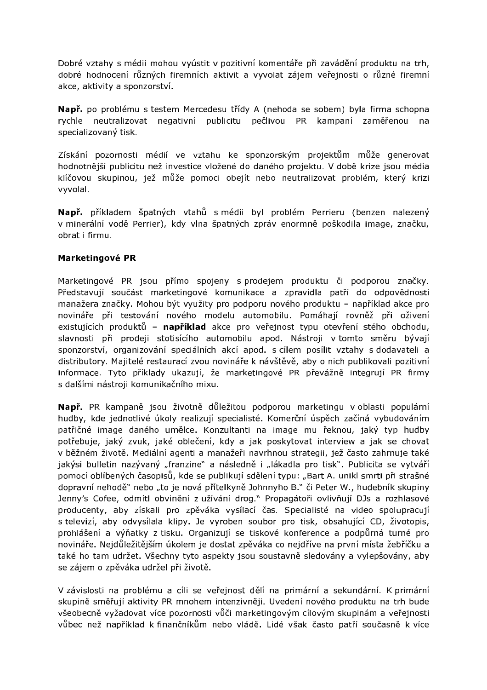Dobré vztahy s médii mohou vyústit v pozitivní komentáře při zavádění produktu na trh, dobré hodnocení různých firemních aktivit a vyvolat zájem veřejnosti o různé firemní akce, aktivity a sponzorství.

Např. po problému s testem Mercedesu třídy A (nehoda se sobem) byla firma schopna rychle neutralizovat negativní publicitu pečlivou PR kampaní zaměřenou na specializovaný tisk.

Získání pozornosti médií ve vztahu ke sponzorským projektům může generovat hodnotnější publicitu než investice vložené do daného projektu. V době krize jsou média klíčovou skupinou, jež může pomoci obejít nebo neutralizovat problém, který krizi vyvolal.

Např. příkladem špatných vtahů s médii byl problém Perrieru (benzen nalezený v minerální vodě Perrier), kdy vlna špatných zpráv enormně poškodila image, značku, obrat i firmu.

#### Marketingové PR

Marketingové PR jsou přímo spojeny s prodejem produktu či podporou značky. Představují součást marketingové komunikace a zpravidla patří do odpovědnosti manažera značky. Mohou být využity pro podporu nového produktu - například akce pro novináře při testování nového modelu automobilu. Pomáhají rovněž při oživení existujících produktů – například akce pro veřejnost typu otevření stého obchodu, slavnosti při prodeji stotisícího automobilu apod. Nástroji v tomto směru bývají sponzorství, organizování speciálních akcí apod. s cílem posílit vztahy s dodavateli a distributory. Majitelé restaurací zvou novináře k návštěvě, aby o nich publikovali pozitivní informace. Tyto příklady ukazují, že marketingové PR převážně integrují PR firmy s dalšími nástroji komunikačního mixu.

Např. PR kampaně jsou životně důležitou podporou marketingu v oblasti populární hudby, kde jednotlivé úkoly realizují specialisté. Komerční úspěch začíná vybudováním patřičné image daného umělce. Konzultanti na image mu řeknou, jaký typ hudby potřebuje, jaký zvuk, jaké oblečení, kdy a jak poskytovat interview a jak se chovat v běžném životě. Mediální agenti a manažeři navrhnou strategii, jež často zahrnuje také jakýsi bulletin nazývaný "franzine" a následně i "lákadla pro tisk". Publicita se vytváří pomocí oblíbených časopisů, kde se publikují sdělení typu: "Bart A. unikl smrti při strašné dopravní nehodě" nebo "to je nová přítelkyně Johnnyho B." či Peter W., hudebník skupiny Jenny's Cofee, odmítl obvinění z užívání drog." Propagátoři ovlivňují DJs a rozhlasové producenty, aby získali pro zpěváka vysílací čas. Specialisté na video spolupracují s televizí, aby odvysílala klipy. Je vyroben soubor pro tisk, obsahující CD, životopis, prohlášení a výňatky z tisku. Organizují se tiskové konference a podpůrná turné pro novináře. Nejdůležitějším úkolem je dostat zpěváka co nejdříve na první místa žebříčku a také ho tam udržet. Všechny tyto aspekty jsou soustavně sledovány a vylepšovány, aby se zájem o zpěváka udržel při životě.

V závislosti na problému a cíli se veřejnost dělí na primární a sekundární. K primární skupině směřují aktivity PR mnohem intenzivněji. Uvedení nového produktu na trh bude všeobecně vyžadovat více pozornosti vůči marketingovým cílovým skupinám a veřejnosti vůbec než například k finančníkům nebo vládě. Lidé však často patří současně k více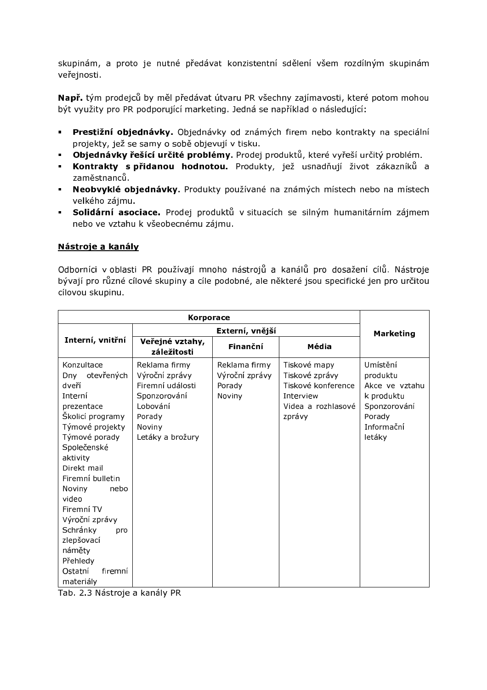skupinám, a proto je nutné předávat konzistentní sdělení všem rozdílným skupinám veřejnosti.

Např. tým prodejců by měl předávat útvaru PR všechny zajímavosti, které potom mohou být využity pro PR podporující marketing. Jedná se například o následující:

- · Prestižní objednávky. Objednávky od známých firem nebo kontrakty na speciální projekty, jež se samy o sobě objevují v tisku.
- · Objednávky řešící určité problémy. Prodej produktů, které vyřeší určitý problém.
- **· Kontrakty s přidanou hodnotou.** Produkty, jež usnadňují život zákazníků a zaměstnanců.
- · Neobvyklé objednávky. Produkty používané na známých místech nebo na místech velkého zájmu.
- · Solidární asociace. Prodej produktů v situacích se silným humanitárním zájmem nebo ve vztahu k všeobecnému zájmu.

### Nástroje a kanály

Odborníci v oblasti PR používají mnoho nástrojů a kanálů pro dosažení cílů. Nástroje bývají pro různé cílové skupiny a cíle podobné, ale některé jsou specifické jen pro určitou cílovou skupinu.

|                                                                                                                                                                                                                                                                                                                                              |                                                                                                                         | <b>Marketing</b>                                    |                                                                                                   |                                                                                                        |
|----------------------------------------------------------------------------------------------------------------------------------------------------------------------------------------------------------------------------------------------------------------------------------------------------------------------------------------------|-------------------------------------------------------------------------------------------------------------------------|-----------------------------------------------------|---------------------------------------------------------------------------------------------------|--------------------------------------------------------------------------------------------------------|
| Interní, vnitřní                                                                                                                                                                                                                                                                                                                             | Veřejné vztahy,<br>záležitosti                                                                                          | Finanční                                            | Média                                                                                             |                                                                                                        |
| Konzultace<br>otevřených<br>Dny<br>dveří<br>Interní<br>prezentace<br>Školicí programy<br>Týmové projekty<br>Týmové porady<br>Společenské<br>aktivity<br>Direkt mail<br>Firemní bulletin<br>nebo<br>Noviny<br>video<br>Firemní TV<br>Výroční zprávy<br>Schránky<br>pro<br>zlepšovací<br>náměty<br>Přehledy<br>Ostatní<br>firemní<br>materiály | Reklama firmy<br>Výroční zprávy<br>Firemní události<br>Sponzorování<br>Lobování<br>Porady<br>Noviny<br>Letáky a brožury | Reklama firmy<br>Výroční zprávy<br>Porady<br>Noviny | Tiskové mapy<br>Tiskové zprávy<br>Tiskové konference<br>Interview<br>Videa a rozhlasové<br>zprávy | Umístění<br>produktu<br>Akce ve vztahu<br>k produktu<br>Sponzorování<br>Porady<br>Informační<br>letáky |

Tab. 2.3 Nástroje a kanály PR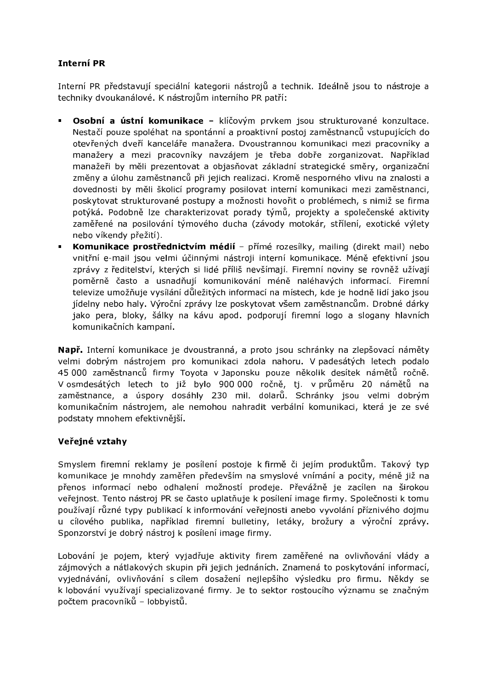## **Interní PR**

Interní PR představují speciální kategorii nástrojů a technik. Ideálně jsou to nástroje a techniky dvoukanálové. K nástrojům interního PR patří:

- Osobní a ústní komunikace klíčovým prvkem jsou strukturované konzultace. Nestačí pouze spoléhat na spontánní a proaktivní postoj zaměstnanců vstupujících do otevřených dveří kanceláře manažera. Dvoustrannou komunikaci mezi pracovníky a manažery a mezi pracovníky navzájem je třeba dobře zorganizovat. Například manažeři by měli prezentovat a objasňovat základní strategické směry, organizační změny a úlohu zaměstnanců při jejich realizaci. Kromě nesporného vlivu na znalosti a dovednosti by měli školicí programy posilovat interní komunikaci mezi zaměstnanci, poskytovat strukturované postupy a možnosti hovořit o problémech, s nimiž se firma potýká. Podobně lze charakterizovat porady týmů, projekty a společenské aktivity zaměřené na posilování týmového ducha (závody motokár, střílení, exotické výlety nebo víkendy přežití).
- Komunikace prostřednictvím médií přímé rozesílky, mailing (direkt mail) nebo vnitřní e-mail jsou velmi účinnými nástroji interní komunikace. Méně efektivní jsou zprávy z ředitelství, kterých si lidé příliš nevšímají. Firemní noviny se rovněž užívají poměrně často a usnadňují komunikování méně naléhavých informací. Firemní televize umožňuje vysílání důležitých informací na místech, kde je hodně lidí jako jsou jídelny nebo haly. Výroční zprávy lze poskytovat všem zaměstnancům. Drobné dárky jako pera, bloky, šálky na kávu apod. podporují firemní logo a slogany hlavních komunikačních kampaní.

Např. Interní komunikace je dvoustranná, a proto jsou schránky na zlepšovací náměty velmi dobrým nástrojem pro komunikaci zdola nahoru. V padesátých letech podalo 45 000 zaměstnanců firmy Toyota v Japonsku pouze několik desítek námětů ročně. V osmdesátých letech to již bylo 900 000 ročně, tj. v průměru 20 námětů na zaměstnance, a úspory dosáhly 230 mil. dolarů. Schránky jsou velmi dobrým komunikačním nástrojem, ale nemohou nahradit verbální komunikaci, která je ze své podstaty mnohem efektivněiší.

### Veřejné vztahy

Smyslem firemní reklamy je posílení postoje k firmě či jejím produktům. Takový typ komunikace je mnohdy zaměřen především na smyslové vnímání a pocity, méně již na přenos informací nebo odhalení možností prodeje. Převážně je zacílen na širokou veřejnost. Tento nástroj PR se často uplatňuje k posílení image firmy. Společnosti k tomu používají různé typy publikací k informování veřejnosti anebo vyvolání příznivého dojmu u cílového publika, například firemní bulletiny, letáky, brožury a výroční zprávy. Sponzorství je dobrý nástroj k posílení image firmy.

Lobování je pojem, který vyjadřuje aktivity firem zaměřené na ovlivňování vlády a zájmových a nátlakových skupin při jejich jednáních. Znamená to poskytování informací, vyjednávání, ovlivňování s cílem dosažení nejlepšího výsledku pro firmu. Někdy se k lobování využívají specializované firmy. Je to sektor rostoucího významu se značným počtem pracovníků - lobbyistů.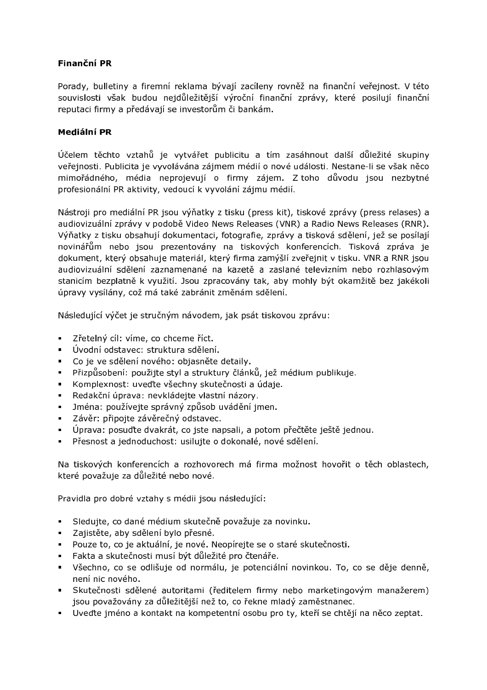## Finanční PR

Porady, bulletiny a firemní reklama bývají zacíleny rovněž na finanční veřejnost. V této souvislosti však budou nejdůležitější výroční finanční zprávy, které posilují finanční reputaci firmy a předávají se investorům či bankám.

### Mediální PR

Účelem těchto vztahů je vytvářet publicitu a tím zasáhnout další důležité skupiny veřejnosti. Publicita je vyvolávána zájmem médií o nové události. Nestane-li se však něco mimořádného, média neprojevují o firmy zájem. Z toho důvodu jsou nezbytné profesionální PR aktivity, vedoucí k vyvolání zájmu médií.

Nástroji pro mediální PR jsou výňatky z tisku (press kit), tiskové zprávy (press relases) a audiovizuální zprávy v podobě Video News Releases (VNR) a Radio News Releases (RNR). Výňatky z tisku obsahují dokumentaci, fotografie, zprávy a tisková sdělení, jež se posílají novinářům nebo jsou prezentovány na tiskových konferencích. Tisková zpráva je dokument, který obsahuje materiál, který firma zamýšlí zveřejnit v tisku. VNR a RNR jsou audiovizuální sdělení zaznamenané na kazetě a zaslané televizním nebo rozhlasovým stanicím bezplatně k využití. Jsou zpracovány tak, aby mohly být okamžitě bez jakékoli úpravy vysílány, což má také zabránit změnám sdělení.

Následující výčet je stručným návodem, jak psát tiskovou zprávu:

- · Zřetelný cíl: víme, co chceme říct.
- · Úvodní odstavec: struktura sdělení.
- Co je ve sdělení nového: objasněte detaily.
- · Přizpůsobení: použijte styl a struktury článků, jež médium publikuje.
- Komplexnost: uveďte všechny skutečnosti a údaje.
- Redakční úprava: nevkládejte vlastní názory.
- · Jména: používejte správný způsob uvádění jmen.
- · Závěr: připojte závěrečný odstavec.
- · Úprava: posuďte dvakrát, co jste napsali, a potom přečtěte ještě jednou.
- Přesnost a jednoduchost: usilujte o dokonalé, nové sdělení.

Na tiskových konferencích a rozhovorech má firma možnost hovořit o těch oblastech, které považuje za důležité nebo nové.

Pravidla pro dobré vztahy s médii isou následující:

- Sledujte, co dané médium skutečně považuje za novinku.  $\mathbf{H}^{\text{max}}$
- · Zajistěte, aby sdělení bylo přesné.
- · Pouze to, co je aktuální, je nové. Neopírejte se o staré skutečnosti.
- · Fakta a skutečnosti musí být důležité pro čtenáře.
- · Všechno, co se odlišuje od normálu, je potenciální novinkou. To, co se děje denně, není nic nového.
- · Skutečnosti sdělené autoritami (ředitelem firmy nebo marketingovým manažerem) jsou považovány za důležitější než to, co řekne mladý zaměstnanec.
- Uveďte jméno a kontakt na kompetentní osobu pro ty, kteří se chtějí na něco zeptat.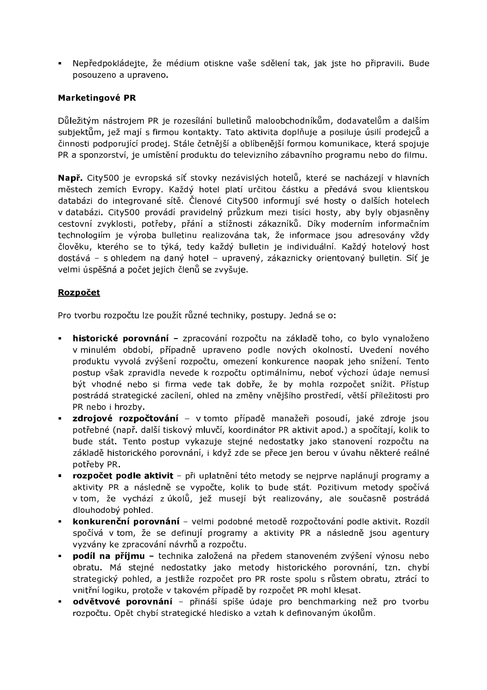· Nepředpokládejte, že médium otiskne vaše sdělení tak, jak jste ho připravili. Bude posouzeno a upraveno.

### Marketingové PR

Důležitým nástrojem PR je rozesílání bulletinů maloobchodníkům, dodavatelům a dalším subjektům, jež mají s firmou kontakty. Tato aktivita doplňuje a posiluje úsilí prodejců a činnosti podporující prodej. Stále četnější a oblíbenější formou komunikace, která spojuje PR a sponzorství, je umístění produktu do televizního zábavního programu nebo do filmu.

Např. City500 je evropská síť stovky nezávislých hotelů, které se nacházejí v hlavních městech zemích Evropy. Každý hotel platí určitou částku a předává svou klientskou databázi do integrované sítě. Členové City500 informují své hosty o dalších hotelech v databázi. City500 provádí pravidelný průzkum mezi tisíci hosty, aby byly objasněny cestovní zvyklosti, potřeby, přání a stížnosti zákazníků. Díky moderním informačním technologiím je výroba bulletinu realizována tak, že informace jsou adresovány vždy člověku, kterého se to týká, tedy každý bulletin je individuální. Každý hotelový host dostává – s ohledem na daný hotel – upravený, zákaznicky orientovaný bulletin. Síť je velmi úspěšná a počet jejích členů se zvyšuje.

### Rozpočet

Pro tvorbu rozpočtu lze použít různé techniky, postupy. Jedná se o:

- historické porovnání zpracování rozpočtu na základě toho, co bylo vynaloženo v minulém období, případně upraveno podle nových okolností. Uvedení nového produktu vyvolá zvýšení rozpočtu, omezení konkurence naopak jeho snížení. Tento postup však zpravidla nevede k rozpočtu optimálnímu, neboť výchozí údaje nemusí být vhodné nebo si firma vede tak dobře, že by mohla rozpočet snížit. Přístup postrádá strategické zacílení, ohled na změny vnějšího prostředí, větší příležitosti pro PR nebo i hrozby.
- zdrojové rozpočtování v tomto případě manažeři posoudí, jaké zdroje jsou potřebné (např. další tiskový mluvčí, koordinátor PR aktivit apod.) a spočítají, kolik to bude stát. Tento postup vykazuje stejné nedostatky jako stanovení rozpočtu na základě historického porovnání, i když zde se přece jen berou v úvahu některé reálné potřeby PR.
- **rozpočet podle aktivit** při uplatnění této metody se nejprve naplánují programy a aktivity PR a následně se vypočte, kolik to bude stát. Pozitivum metody spočívá v tom, že vychází z úkolů, jež musejí být realizovány, ale současně postrádá dlouhodobý pohled.
- konkurenční porovnání velmi podobné metodě rozpočtování podle aktivit. Rozdíl spočívá v tom, že se definují programy a aktivity PR a následně jsou agentury vyzvány ke zpracování návrhů a rozpočtu.
- podíl na příjmu technika založená na předem stanoveném zvýšení výnosu nebo obratu. Má stejné nedostatky jako metody historického porovnání, tzn. chybí strategický pohled, a jestliže rozpočet pro PR roste spolu s růstem obratu, ztrácí to vnitřní logiku, protože v takovém případě by rozpočet PR mohl klesat.
- odvětvové porovnání přináší spíše údaje pro benchmarking než pro tvorbu rozpočtu. Opět chybí strategické hledisko a vztah k definovaným úkolům.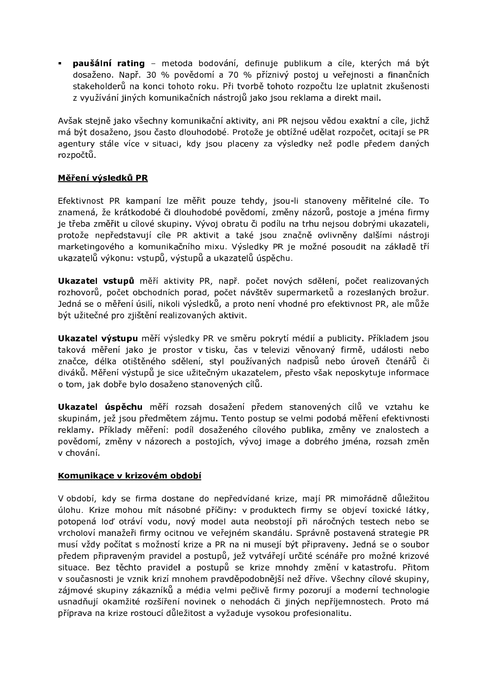· paušální rating - metoda bodování, definuje publikum a cíle, kterých má být dosaženo. Např. 30 % povědomí a 70 % příznivý postoj u veřejnosti a finančních stakeholderů na konci tohoto roku. Při tvorbě tohoto rozpočtu lze uplatnit zkušenosti z využívání jiných komunikačních nástrojů jako jsou reklama a direkt mail.

Avšak stejně jako všechny komunikační aktivity, ani PR nejsou vědou exaktní a cíle, jichž má být dosaženo, jsou často dlouhodobé. Protože je obtížné udělat rozpočet, ocitají se PR agentury stále více v situaci, kdy jsou placeny za výsledky než podle předem daných rozpočtů.

### Měření výsledků PR

Efektivnost PR kampaní lze měřit pouze tehdy, jsou-li stanoveny měřitelné cíle. To znamená, že krátkodobé či dlouhodobé povědomí, změny názorů, postoje a jména firmy je třeba změřit u cílové skupiny. Vývoj obratu či podílu na trhu nejsou dobrými ukazateli, protože nepředstavují cíle PR aktivit a také jsou značně ovlivněny dalšími nástroji marketingového a komunikačního mixu. Výsledky PR je možné posoudit na základě tří ukazatelů výkonu: vstupů, výstupů a ukazatelů úspěchu.

Ukazatel vstupů měří aktivity PR, např. počet nových sdělení, počet realizovaných rozhovorů, počet obchodních porad, počet návštěv supermarketů a rozeslaných brožur. Jedná se o měření úsilí, nikoli výsledků, a proto není vhodné pro efektivnost PR, ale může být užitečné pro zjištění realizovaných aktivit.

Ukazatel výstupu měří výsledky PR ve směru pokrytí médií a publicity. Příkladem jsou taková měření jako je prostor v tisku, čas v televizi věnovaný firmě, události nebo značce, délka otištěného sdělení, styl používaných nadpisů nebo úroveň čtenářů či diváků. Měření výstupů je sice užitečným ukazatelem, přesto však neposkytuje informace o tom, jak dobře bylo dosaženo stanovených cílů.

Ukazatel úspěchu měří rozsah dosažení předem stanovených cílů ve vztahu ke skupinám, jež jsou předmětem zájmu. Tento postup se velmi podobá měření efektivnosti reklamy. Příklady měření: podíl dosaženého cílového publika, změny ve znalostech a povědomí, změny v názorech a postojích, vývoj image a dobrého jména, rozsah změn v chování.

#### Komunikace v krizovém období

V období, kdy se firma dostane do nepředvídané krize, mají PR mimořádně důležitou úlohu. Krize mohou mít násobné příčiny: v produktech firmy se objeví toxické látky, potopená loď otráví vodu, nový model auta neobstojí při náročných testech nebo se vrcholoví manažeři firmy ocitnou ve veřejném skandálu. Správně postavená strategie PR musí vždy počítat s možností krize a PR na ni musejí být připraveny. Jedná se o soubor předem připraveným pravidel a postupů, jež vytvářejí určité scénáře pro možné krizové situace. Bez těchto pravidel a postupů se krize mnohdy změní v katastrofu. Přitom v současnosti je vznik krizí mnohem pravděpodobnější než dříve. Všechny cílové skupiny, zájmové skupiny zákazníků a média velmi pečlivě firmy pozorují a moderní technologie usnadňují okamžité rozšíření novinek o nehodách či jiných nepříjemnostech. Proto má příprava na krize rostoucí důležitost a vyžaduje vysokou profesionalitu.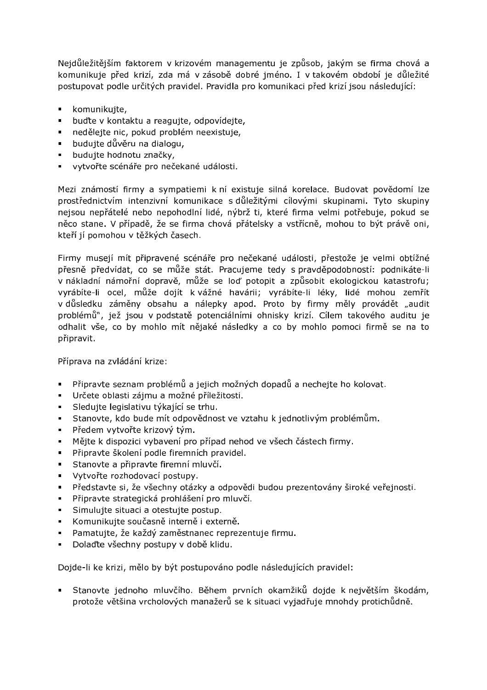Nejdůležitějším faktorem v krizovém managementu je způsob, jakým se firma chová a komunikuje před krizí, zda má v zásobě dobré jméno. I v takovém období je důležité postupovat podle určitých pravidel. Pravidla pro komunikaci před krizí jsou následující:

- komunikujte,
- buďte v kontaktu a reagujte, odpovídejte,  $\mathbf{r}$  .
- · nedělejte nic, pokud problém neexistuje,
- budujte důvěru na dialogu,
- · budujte hodnotu značky,
- vytvořte scénáře pro nečekané události.

Mezi známostí firmy a sympatiemi k ní existuje silná korelace. Budovat povědomí lze prostřednictvím intenzivní komunikace s důležitými cílovými skupinami. Tyto skupiny nejsou nepřátelé nebo nepohodlní lidé, nýbrž ti, které firma velmi potřebuje, pokud se něco stane. V případě, že se firma chová přátelsky a vstřícně, mohou to být právě oni, kteří jí pomohou v těžkých časech.

Firmy musejí mít připravené scénáře pro nečekané události, přestože je velmi obtížné přesně předvídat, co se může stát. Pracujeme tedy s pravděpodobností: podnikáte-li v nákladní námořní dopravě, může se loď potopit a způsobit ekologickou katastrofu; vyrábíte-li ocel, může dojít k vážné havárii; vyrábíte-li léky, lidé mohou zemřít v důsledku záměny obsahu a nálepky apod. Proto by firmy měly provádět "audit problémů", jež jsou v podstatě potenciálními ohnisky krizí. Cílem takového auditu je odhalit vše, co by mohlo mít nějaké následky a co by mohlo pomoci firmě se na to připravit.

Příprava na zvládání krize:

- Připravte seznam problémů a jejich možných dopadů a nechejte ho kolovat.
- · Určete oblasti zájmu a možné příležitosti.
- · Sledujte legislativu týkající se trhu.
- Stanovte, kdo bude mít odpovědnost ve vztahu k jednotlivým problémům.
- $\mathbf{u}$  . Předem vytvořte krizový tým.
- · Mějte k dispozici vybavení pro případ nehod ve všech částech firmy.
- · Připravte školení podle firemních pravidel.
- · Stanovte a připravte firemní mluvčí.
- Vytvořte rozhodovací postupy.
- · Představte si, že všechny otázky a odpovědi budou prezentovány široké veřejnosti.
- · Připravte strategická prohlášení pro mluvčí.
- · Simulujte situaci a otestujte postup.
- Komunikujte současně interně i externě.
- · Pamatujte, že každý zaměstnanec reprezentuje firmu.
- · Dolaďte všechny postupy v době klidu.

Dojde-li ke krizi, mělo by být postupováno podle následujících pravidel:

· Stanovte jednoho mluvčího. Během prvních okamžiků dojde k největším škodám, protože většina vrcholových manažerů se k situaci vyjadřuje mnohdy protichůdně.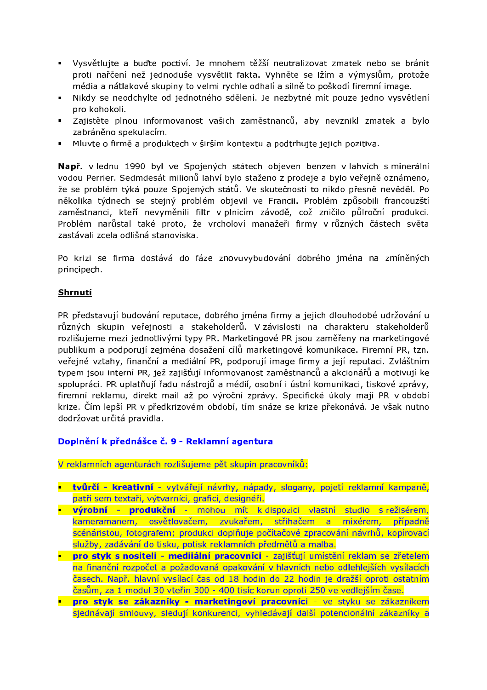- · Vysvětlujte a buďte poctiví. Je mnohem těžší neutralizovat zmatek nebo se bránit proti nařčení než jednoduše vysvětlit fakta. Vyhněte se lžím a výmyslům, protože média a nátlakové skupiny to velmi rychle odhalí a silně to poškodí firemní image.
- Nikdy se neodchylte od jednotného sdělení. Je nezbytné mít pouze jedno vysvětlení  $\mathbf{u} = \mathbf{0}$ pro kohokoli.
- · Zajistěte plnou informovanost vašich zaměstnanců, aby nevznikl zmatek a bylo zabráněno spekulacím.
- Mluvte o firmě a produktech v širším kontextu a podtrhujte jejich pozitiva.

Např. v lednu 1990 byl ve Spojených státech objeven benzen v lahvích s minerální vodou Perrier. Sedmdesát milionů lahví bylo staženo z prodeje a bylo veřejně oznámeno, že se problém týká pouze Spojených států. Ve skutečnosti to nikdo přesně nevěděl. Po několika týdnech se stejný problém objevil ve Francii. Problém způsobili francouzští zaměstnanci, kteří nevyměnili filtr v plnicím závodě, což zničilo půlroční produkci. Problém narůstal také proto, že vrcholoví manažeři firmy v různých částech světa zastávali zcela odlišná stanoviska.

Po krizi se firma dostává do fáze znovuvybudování dobrého jména na zmíněných principech.

### Shrnutí

PR představují budování reputace, dobrého jména firmy a jejich dlouhodobé udržování u různých skupin veřejnosti a stakeholderů. V závislosti na charakteru stakeholderů rozlišujeme mezi jednotlivými typy PR. Marketingové PR jsou zaměřeny na marketingové publikum a podporují zejména dosažení cílů marketingové komunikace. Firemní PR, tzn. veřejné vztahy, finanční a mediální PR, podporují image firmy a její reputaci. Zvláštním typem jsou interní PR, jež zajišťují informovanost zaměstnanců a akcionářů a motivují ke spolupráci. PR uplatňují řadu nástrojů a médií, osobní i ústní komunikaci, tiskové zprávy, firemní reklamu, direkt mail až po výroční zprávy. Specifické úkoly mají PR v období krize. Čím lepší PR v předkrizovém období, tím snáze se krize překonává. Je však nutno dodržovat určitá pravidla.

#### Doplnění k přednášce č. 9 - Reklamní agentura

V reklamních agenturách rozlišujeme pět skupin pracovníků:

- tvůrčí kreativní vytvářejí návrhy, nápady, slogany, pojetí reklamní kampaně, patří sem textaři, výtvarníci, grafici, designéři.
- výrobní produkční mohou mít k dispozici vlastní studio s režisérem, kameramanem, osvětlovačem, zvukařem, střihačem a mixérem, případně scénáristou, fotografem; produkci doplňuje počítačové zpracování návrhů, kopírovací služby, zadávání do tisku, potisk reklamních předmětů a malba.
- **pro styk s nositeli medijální pracovníci** zajišťují umístění reklam se zřetelem na finanční rozpočet a požadovaná opakování v hlavních nebo odlehlejších vysílacích časech. Např. hlavní vysílací čas od 18 hodin do 22 hodin je dražší oproti ostatním časům, za 1 modul 30 vteřin 300 - 400 tisíc korun oproti 250 ve vedlejším čase.
- pro styk se zákazníky marketingoví pracovníci ve styku se zákazníkem sjednávají smlouvy, sledují konkurenci, vyhledávají další potencionální zákazníky a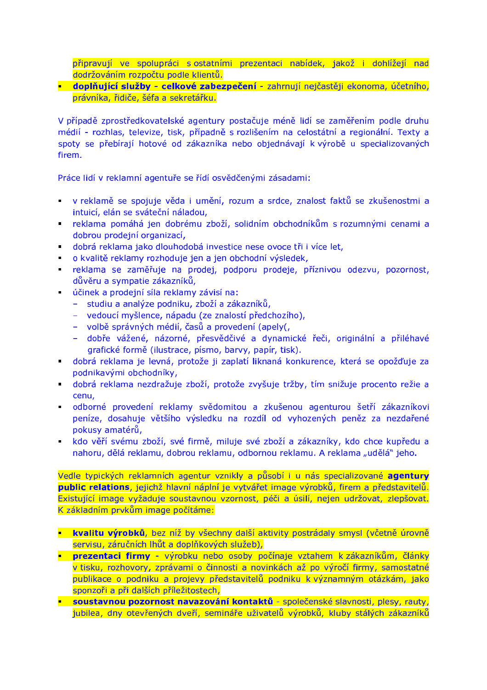připravují ve spolupráci s ostatními prezentaci nabídek, jakož i dohlížejí nad dodržováním rozpočtu podle klientů.

### doplňující služby - celkové zabezpečení - zahrnují nejčastěji ekonoma, účetního, právníka, řidiče, šéfa a sekretářku.

V případě zprostředkovatelské agentury postačuje méně lidí se zaměřením podle druhu médií - rozhlas, televize, tisk, případně s rozlišením na celostátní a regionální. Texty a spoty se přebírají hotové od zákazníka nebo objednávají k výrobě u specializovaných firem.

Práce lidí v reklamní agentuře se řídí osvědčenými zásadami:

- v reklamě se spojuje věda i umění, rozum a srdce, znalost faktů se zkušenostmi a intuicí, elán se sváteční náladou,
- reklama pomáhá jen dobrému zboží, solidním obchodníkům s rozumnými cenami a dobrou prodejní organizací,
- dobrá reklama jako dlouhodobá investice nese ovoce tři i více let,
- · o kvalitě reklamy rozhoduje jen a jen obchodní výsledek,
- reklama se zaměřuje na prodej, podporu prodeje, příznivou odezvu, pozornost, důvěru a sympatie zákazníků,
- · účinek a prodejní síla reklamy závisí na:
	- studiu a analýze podniku, zboží a zákazníků,
	- vedoucí myšlence, nápadu (ze znalostí předchozího),
	- volbě správných médií, časů a provedení (apely(,
	- dobře vážené, názorné, přesvědčivé a dynamické řeči, originální a přiléhavé grafické formě (ilustrace, písmo, barvy, papír, tisk).
- dobrá reklama je levná, protože ji zaplatí liknaná konkurence, která se opožďuje za podnikavými obchodníky,
- dobrá reklama nezdražuje zboží, protože zvyšuje tržby, tím snižuje procento režie a cenu,
- · odborné provedení reklamy svědomitou a zkušenou agenturou šetří zákazníkovi peníze, dosahuje většího výsledku na rozdíl od vyhozených peněz za nezdařené pokusy amatérů,
- kdo věří svému zboží, své firmě, miluje své zboží a zákazníky, kdo chce kupředu a nahoru, dělá reklamu, dobrou reklamu, odbornou reklamu. A reklama "udělá" jeho.

Vedle typických reklamních agentur vznikly a působí i u nás specializované agentury public relations, jejichž hlavní náplní je vytvářet image výrobků, firem a představitelů. Existující image vyžaduje soustavnou vzornost, péči a úsilí, nejen udržovat, zlepšovat. K základním prvkům image počítáme:

- **kvalitu výrobků**, bez níž by všechny další aktivity postrádaly smysl (včetně úrovně servisu, záručních lhůt a doplňkových služeb),
- **Prezentaci firmy** výrobku nebo osoby počínaje vztahem k zákazníkům, články v tisku, rozhovory, zprávami o činnosti a novinkách až po výročí firmy, samostatné publikace o podniku a projevy představitelů podniku k významným otázkám, jako sponzoři a při dalších příležitostech,
- soustavnou pozornost navazování kontaktů společenské slavnosti, plesy, rauty, jubilea, dny otevřených dveří, semináře uživatelů výrobků, kluby stálých zákazníků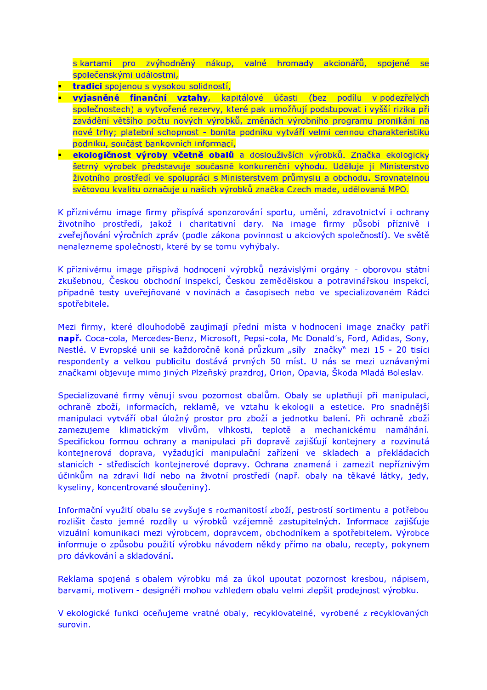s kartami pro zvýhodněný nákup, valné hromady akcionářů, spojené se společenskými událostmi,

- **tradici** spojenou s vysokou solidností.
- vyjasněné finanční vztahy, kapitálové účasti (bez podílu v podezřelých společnostech) a vytvořené rezervy, které pak umožňují podstupovat i vyšší rizika při zavádění většího počtu nových výrobků, změnách výrobního programu pronikání na nové trhy; platební schopnost - bonita podniku vytváří velmi cennou charakteristiku podniku, součást bankovních informací,
- ekologičnost výroby včetně obalů a doslouživších výrobků. Značka ekologicky šetrný výrobek představuje současně konkurenční výhodu. Uděluje ji Ministerstvo životního prostředí ve spolupráci s Ministerstvem průmyslu a obchodu. Srovnatelnou světovou kvalitu označuje u našich výrobků značka Czech made, udělovaná MPO.

K příznivému image firmy přispívá sponzorování sportu, umění, zdravotnictví i ochrany životního prostředí, jakož i charitativní dary. Na image firmy působí příznivě i zveřejňování výročních zpráv (podle zákona povinnost u akciových společností). Ve světě nenalezneme společnosti, které by se tomu vyhýbaly.

K příznivému image přispívá hodnocení výrobků nezávislými orgány - oborovou státní zkušebnou, Českou obchodní inspekcí, Českou zemědělskou a potravinářskou inspekcí, případně testy uveřejňované v novinách a časopisech nebo ve specializovaném Rádci spotřebitele.

Mezi firmy, které dlouhodobě zaujímají přední místa v hodnocení image značky patří např. Coca-cola, Mercedes-Benz, Microsoft, Pepsi-cola, Mc Donald's, Ford, Adidas, Sony, Nestlé. V Evropské unii se každoročně koná průzkum "síly značky" mezi 15 - 20 tisíci respondenty a velkou publicitu dostává prvných 50 míst. U nás se mezi uznávanými značkami objevuje mimo jiných Plzeňský prazdroj, Orion, Opavia, Škoda Mladá Boleslav.

Specializované firmy věnují svou pozornost obalům. Obaly se uplatňují při manipulaci, ochraně zboží, informacích, reklamě, ve vztahu k ekologii a estetice. Pro snadnější manipulaci vytváří obal úložný prostor pro zboží a jednotku balení. Při ochraně zboží zamezujeme klimatickým vlivům, vlhkosti, teplotě a mechanickému namáhání. Specifickou formou ochrany a manipulaci při dopravě zajišťují kontejnery a rozvinutá kontejnerová doprava, vyžadující manipulační zařízení ve skladech a překládacích stanicích - střediscích kontejnerové dopravy. Ochrana znamená i zamezit nepříznivým účinkům na zdraví lidí nebo na životní prostředí (např. obaly na těkavé látky, jedy, kyseliny, koncentrované sloučeniny).

Informační využití obalu se zvyšuje s rozmanitostí zboží, pestrostí sortimentu a potřebou rozlišit často jemné rozdíly u výrobků vzájemně zastupitelných. Informace zajišťuje vizuální komunikaci mezi výrobcem, dopravcem, obchodníkem a spotřebitelem. Výrobce informuje o způsobu použití výrobku návodem někdy přímo na obalu, recepty, pokynem pro dávkování a skladování.

Reklama spojená s obalem výrobku má za úkol upoutat pozornost kresbou, nápisem, barvami, motivem - designéři mohou vzhledem obalu velmi zlepšit prodejnost výrobku.

V ekologické funkci oceňujeme vratné obaly, recyklovatelné, vyrobené z recyklovaných surovin.